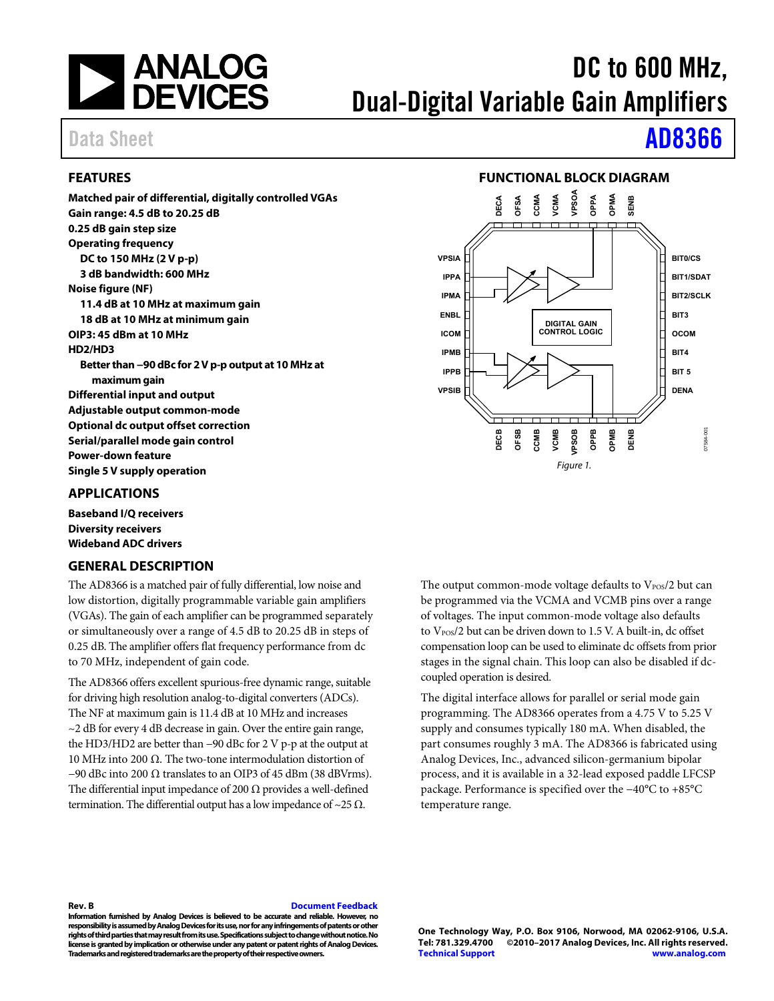

# DC to 600 MHz, Dual-Digital Variable Gain Amplifiers

# Data Sheet **[AD8366](http://www.analog.com/AD8366)**

## <span id="page-0-0"></span>**FEATURES**

**Matched pair of differential, digitally controlled VGAs Gain range: 4.5 dB to 20.25 dB 0.25 dB gain step size Operating frequency DC to 150 MHz (2 V p-p) 3 dB bandwidth: 600 MHz Noise figure (NF) 11.4 dB at 10 MHz at maximum gain 18 dB at 10 MHz at minimum gain OIP3: 45 dBm at 10 MHz HD2/HD3 Better than −90 dBc for 2 V p-p output at 10 MHz at maximum gain Differential input and output Adjustable output common-mode Optional dc output offset correction Serial/parallel mode gain control Power-down feature Single 5 V supply operation** 

## <span id="page-0-1"></span>**APPLICATIONS**

**Baseband I/Q receivers Diversity receivers Wideband ADC drivers** 

## <span id="page-0-3"></span>**GENERAL DESCRIPTION**

The AD8366 is a matched pair of fully differential, low noise and low distortion, digitally programmable variable gain amplifiers (VGAs). The gain of each amplifier can be programmed separately or simultaneously over a range of 4.5 dB to 20.25 dB in steps of 0.25 dB. The amplifier offers flat frequency performance from dc to 70 MHz, independent of gain code.

The AD8366 offers excellent spurious-free dynamic range, suitable for driving high resolution analog-to-digital converters (ADCs). The NF at maximum gain is 11.4 dB at 10 MHz and increases  $\sim$ 2 dB for every 4 dB decrease in gain. Over the entire gain range, the HD3/HD2 are better than −90 dBc for 2 V p-p at the output at 10 MHz into 200 Ω. The two-tone intermodulation distortion of  $-90$  dBc into 200  $\Omega$  translates to an OIP3 of 45 dBm (38 dBVrms). The differential input impedance of 200  $\Omega$  provides a well-defined termination. The differential output has a low impedance of  $\sim$ 25  $\Omega$ .

## **FUNCTIONAL BLOCK DIAGRAM**

<span id="page-0-2"></span>

The output common-mode voltage defaults to  $V_{\rm POS}/2$  but can be programmed via the VCMA and VCMB pins over a range of voltages. The input common-mode voltage also defaults to V<sub>POS</sub>/2 but can be driven down to 1.5 V. A built-in, dc offset compensation loop can be used to eliminate dc offsets from prior stages in the signal chain. This loop can also be disabled if dccoupled operation is desired.

The digital interface allows for parallel or serial mode gain programming. The AD8366 operates from a 4.75 V to 5.25 V supply and consumes typically 180 mA. When disabled, the part consumes roughly 3 mA. The AD8366 is fabricated using Analog Devices, Inc., advanced silicon-germanium bipolar process, and it is available in a 32-lead exposed paddle LFCSP package. Performance is specified over the −40°C to +85°C temperature range.

### **Rev. B [Document Feedback](https://form.analog.com/Form_Pages/feedback/documentfeedback.aspx?doc=AD8366.pdf&product=AD8366&rev=B)**

**Information furnished by Analog Devices is believed to be accurate and reliable. However, no responsibility is assumed by Analog Devices for its use, nor for any infringements of patents or other rights of third parties that may result from its use. Specifications subject to change without notice. No license is granted by implication or otherwise under any patent or patent rights of Analog Devices. Trademarks and registered trademarks are the property of their respective owners.**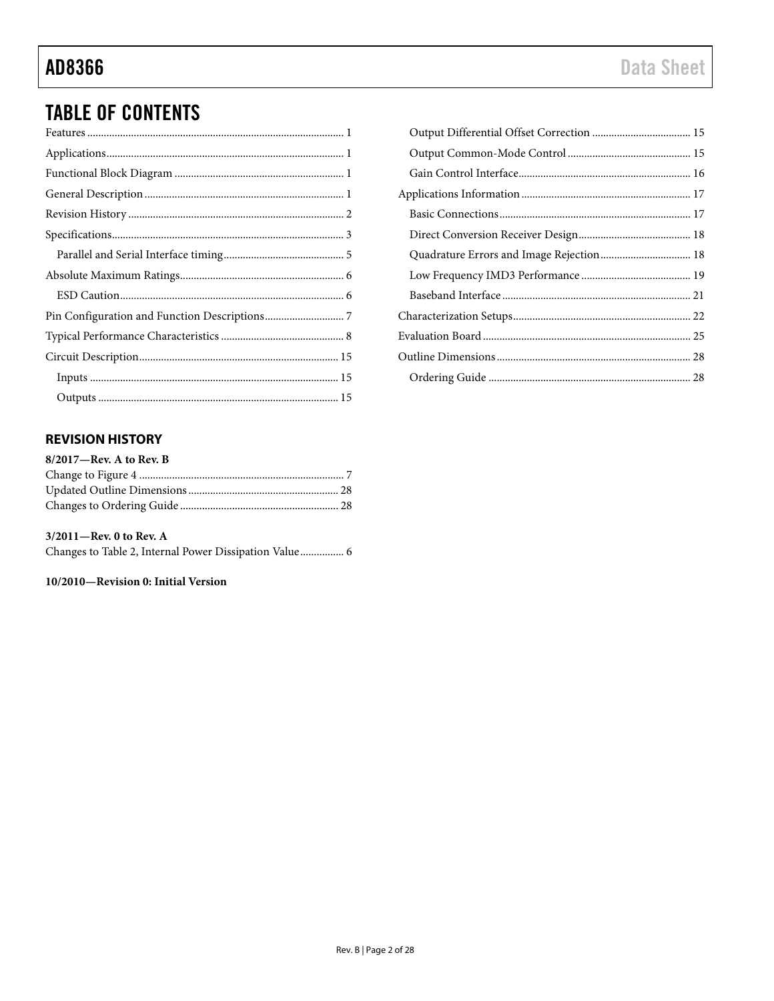# **TABLE OF CONTENTS**

## <span id="page-1-0"></span>**REVISION HISTORY**

| 8/2017-Rev. A to Rev. B |  |
|-------------------------|--|
|                         |  |
|                         |  |
|                         |  |
|                         |  |

| $3/2011$ —Rev. 0 to Rev. A                             |  |
|--------------------------------------------------------|--|
| Changes to Table 2, Internal Power Dissipation Value 6 |  |

### 10/2010-Revision 0: Initial Version

| Quadrature Errors and Image Rejection 18 |  |
|------------------------------------------|--|
|                                          |  |
|                                          |  |
|                                          |  |
|                                          |  |
|                                          |  |
|                                          |  |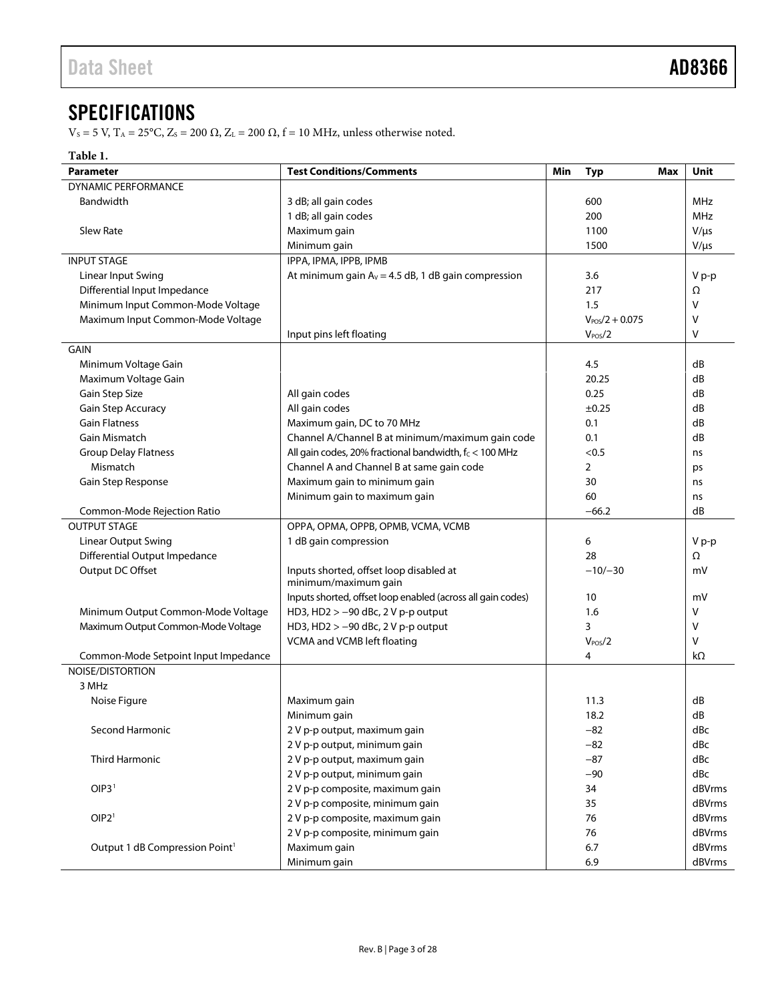## <span id="page-2-0"></span>**SPECIFICATIONS**

V<sub>S</sub> = 5 V, T<sub>A</sub> = 25°C, Z<sub>S</sub> = 200 Ω, Z<sub>L</sub> = 200 Ω, f = 10 MHz, unless otherwise noted.

### **Table 1.**

| <b>Parameter</b>                           | Min                                                         | <b>Typ</b> | Max                 | Unit |           |
|--------------------------------------------|-------------------------------------------------------------|------------|---------------------|------|-----------|
| <b>DYNAMIC PERFORMANCE</b>                 |                                                             |            |                     |      |           |
| Bandwidth                                  |                                                             | 600        |                     | MHz  |           |
|                                            | 1 dB; all gain codes                                        |            | 200                 |      | MHz       |
| <b>Slew Rate</b>                           | Maximum gain                                                |            | 1100                |      | $V/\mu s$ |
|                                            | Minimum gain                                                |            | 1500                |      | $V/\mu s$ |
| <b>INPUT STAGE</b>                         | IPPA, IPMA, IPPB, IPMB                                      |            |                     |      |           |
| Linear Input Swing                         | At minimum gain $A_v = 4.5$ dB, 1 dB gain compression       |            | 3.6                 |      | V p-p     |
| Differential Input Impedance               |                                                             |            | 217                 |      | Ω         |
| Minimum Input Common-Mode Voltage          |                                                             |            | 1.5                 |      | V         |
| Maximum Input Common-Mode Voltage          |                                                             |            | $V_{POS}/2 + 0.075$ |      | v         |
|                                            | Input pins left floating                                    |            | V <sub>POS</sub> /2 |      | v         |
| GAIN                                       |                                                             |            |                     |      |           |
| Minimum Voltage Gain                       |                                                             |            | 4.5                 |      | dB        |
| Maximum Voltage Gain                       |                                                             |            | 20.25               |      | dB        |
| Gain Step Size                             | All gain codes                                              |            | 0.25                |      | dB        |
| Gain Step Accuracy                         | All gain codes                                              |            | ±0.25               |      | dB        |
| <b>Gain Flatness</b>                       | Maximum gain, DC to 70 MHz                                  |            | 0.1                 |      | dB        |
| Gain Mismatch                              | Channel A/Channel B at minimum/maximum gain code            |            | 0.1                 |      | dB        |
| <b>Group Delay Flatness</b>                | All gain codes, 20% fractional bandwidth, fc < 100 MHz      |            | < 0.5               |      | ns        |
| Mismatch                                   | Channel A and Channel B at same gain code                   |            | 2                   |      | ps        |
| Gain Step Response                         | Maximum gain to minimum gain                                |            | 30                  |      | ns        |
|                                            | Minimum gain to maximum gain                                |            | 60                  |      | ns        |
| Common-Mode Rejection Ratio                |                                                             |            | $-66.2$             |      | dB        |
| <b>OUTPUT STAGE</b>                        | OPPA, OPMA, OPPB, OPMB, VCMA, VCMB                          |            |                     |      |           |
| <b>Linear Output Swing</b>                 | 1 dB gain compression                                       |            | 6                   |      | V p-p     |
| Differential Output Impedance              |                                                             |            | 28                  |      | Ω         |
| Output DC Offset                           | Inputs shorted, offset loop disabled at                     |            | $-10/-30$           |      | mV        |
|                                            | minimum/maximum gain                                        |            |                     |      |           |
|                                            | Inputs shorted, offset loop enabled (across all gain codes) |            | 10                  |      | mV        |
| Minimum Output Common-Mode Voltage         | HD3, HD2 $> -90$ dBc, 2 V p-p output                        |            | 1.6                 |      | v         |
| Maximum Output Common-Mode Voltage         | HD3, HD2 > -90 dBc, 2 V p-p output                          |            | 3                   |      | v         |
|                                            | VCMA and VCMB left floating                                 |            | $V_{POS}/2$         |      | v         |
| Common-Mode Setpoint Input Impedance       |                                                             |            | 4                   |      | $k\Omega$ |
| NOISE/DISTORTION                           |                                                             |            |                     |      |           |
| 3 MHz                                      |                                                             |            |                     |      |           |
| Noise Figure                               | Maximum gain                                                |            | 11.3                |      | dB        |
|                                            | Minimum gain                                                |            | 18.2                |      | dB        |
| Second Harmonic                            | 2 V p-p output, maximum gain                                |            | $-82$               |      | dBc       |
|                                            | 2 V p-p output, minimum gain                                |            | $-82$               |      | dBc       |
| Third Harmonic                             | 2 V p-p output, maximum gain                                |            | $-87$               |      | dBc       |
|                                            | 2 V p-p output, minimum gain                                |            | $-90$               |      | dBc       |
| OIP3 <sup>1</sup>                          | 2 V p-p composite, maximum gain                             |            | 34                  |      | dBVrms    |
|                                            | 2 V p-p composite, minimum gain                             |            | 35                  |      | dBVrms    |
| OIP2 <sup>1</sup>                          | 2 V p-p composite, maximum gain                             |            | 76                  |      | dBVrms    |
|                                            | 2 V p-p composite, minimum gain                             |            | 76                  |      | dBVrms    |
| Output 1 dB Compression Point <sup>1</sup> | Maximum gain                                                |            | 6.7                 |      | dBVrms    |
|                                            | Minimum gain                                                |            | 6.9                 |      | dBVrms    |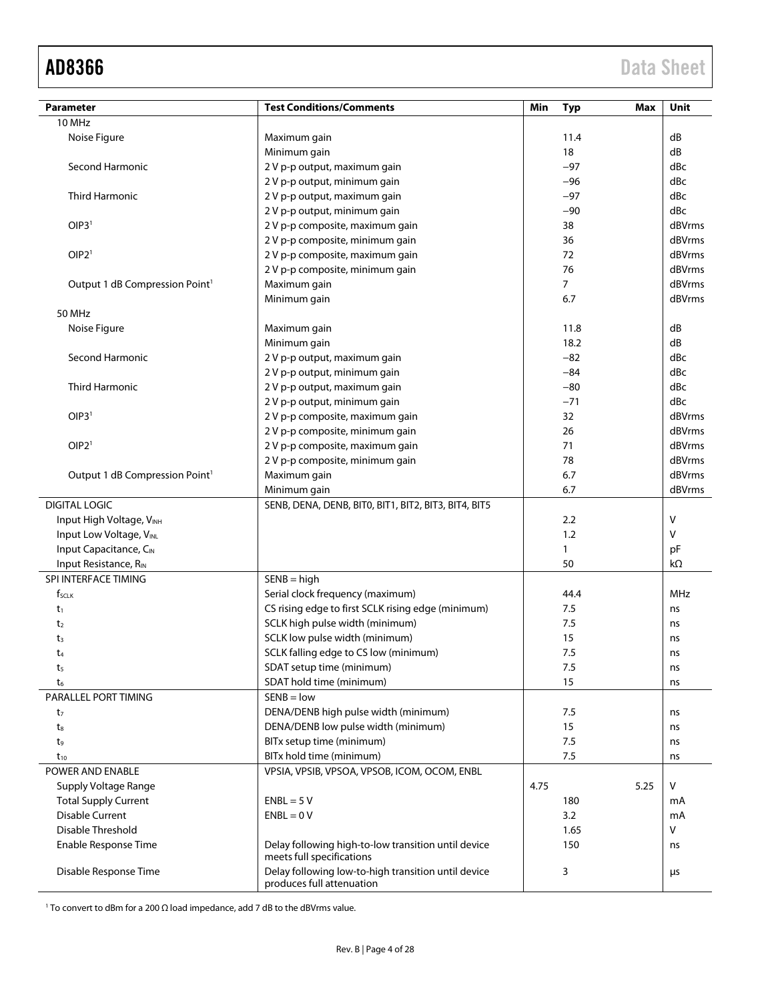<span id="page-3-0"></span>

| Parameter                                  |                                                                                                                                                                                                                                                                                                                                                                                                                                                                                                                                                                                                                                                                                                                                                                                                                                                                                                                                                                                                                                                                                                                                                                                                                                                                                                                                                                                                                                                                                                                                                                                                     |      |      | Max  | Unit       |
|--------------------------------------------|-----------------------------------------------------------------------------------------------------------------------------------------------------------------------------------------------------------------------------------------------------------------------------------------------------------------------------------------------------------------------------------------------------------------------------------------------------------------------------------------------------------------------------------------------------------------------------------------------------------------------------------------------------------------------------------------------------------------------------------------------------------------------------------------------------------------------------------------------------------------------------------------------------------------------------------------------------------------------------------------------------------------------------------------------------------------------------------------------------------------------------------------------------------------------------------------------------------------------------------------------------------------------------------------------------------------------------------------------------------------------------------------------------------------------------------------------------------------------------------------------------------------------------------------------------------------------------------------------------|------|------|------|------------|
| 10 MHz                                     |                                                                                                                                                                                                                                                                                                                                                                                                                                                                                                                                                                                                                                                                                                                                                                                                                                                                                                                                                                                                                                                                                                                                                                                                                                                                                                                                                                                                                                                                                                                                                                                                     |      |      |      |            |
| Noise Figure                               |                                                                                                                                                                                                                                                                                                                                                                                                                                                                                                                                                                                                                                                                                                                                                                                                                                                                                                                                                                                                                                                                                                                                                                                                                                                                                                                                                                                                                                                                                                                                                                                                     |      |      |      | dB         |
|                                            |                                                                                                                                                                                                                                                                                                                                                                                                                                                                                                                                                                                                                                                                                                                                                                                                                                                                                                                                                                                                                                                                                                                                                                                                                                                                                                                                                                                                                                                                                                                                                                                                     |      |      |      | dB         |
| Second Harmonic                            |                                                                                                                                                                                                                                                                                                                                                                                                                                                                                                                                                                                                                                                                                                                                                                                                                                                                                                                                                                                                                                                                                                                                                                                                                                                                                                                                                                                                                                                                                                                                                                                                     |      |      |      | dBc        |
|                                            |                                                                                                                                                                                                                                                                                                                                                                                                                                                                                                                                                                                                                                                                                                                                                                                                                                                                                                                                                                                                                                                                                                                                                                                                                                                                                                                                                                                                                                                                                                                                                                                                     |      |      |      | dBc        |
| Third Harmonic                             |                                                                                                                                                                                                                                                                                                                                                                                                                                                                                                                                                                                                                                                                                                                                                                                                                                                                                                                                                                                                                                                                                                                                                                                                                                                                                                                                                                                                                                                                                                                                                                                                     |      |      |      | dBc        |
|                                            | <b>Test Conditions/Comments</b><br>Min<br>Typ<br>Maximum gain<br>11.4<br>Minimum gain<br>18<br>2 V p-p output, maximum gain<br>$-97$<br>2 V p-p output, minimum gain<br>$-96$<br>2 V p-p output, maximum gain<br>$-97$<br>$-90$<br>2 V p-p output, minimum gain<br>2 V p-p composite, maximum gain<br>38<br>2 V p-p composite, minimum gain<br>36<br>2 V p-p composite, maximum gain<br>72<br>76<br>2 V p-p composite, minimum gain<br>Maximum gain<br>$\overline{7}$<br>Minimum gain<br>6.7<br>11.8<br>Maximum gain<br>18.2<br>Minimum gain<br>2 V p-p output, maximum gain<br>$-82$<br>$-84$<br>2 V p-p output, minimum gain<br>2 V p-p output, maximum gain<br>$-80$<br>2 V p-p output, minimum gain<br>$-71$<br>32<br>2 V p-p composite, maximum gain<br>26<br>2 V p-p composite, minimum gain<br>2 V p-p composite, maximum gain<br>71<br>2 V p-p composite, minimum gain<br>78<br>6.7<br>Maximum gain<br>6.7<br>Minimum gain<br>SENB, DENA, DENB, BITO, BIT1, BIT2, BIT3, BIT4, BIT5<br>2.2<br>1.2<br>$\mathbf{1}$<br>50<br>$SENB = high$<br>Serial clock frequency (maximum)<br>44.4<br>CS rising edge to first SCLK rising edge (minimum)<br>7.5<br>SCLK high pulse width (minimum)<br>7.5<br>SCLK low pulse width (minimum)<br>15<br>7.5<br>SCLK falling edge to CS low (minimum)<br>SDAT setup time (minimum)<br>7.5<br>SDAT hold time (minimum)<br>15<br>$SENB = low$<br>DENA/DENB high pulse width (minimum)<br>7.5<br>DENA/DENB low pulse width (minimum)<br>15<br>BITx setup time (minimum)<br>7.5<br>BITx hold time (minimum)<br>7.5<br>VPSIA, VPSIB, VPSOA, VPSOB, ICOM, OCOM, ENBL |      |      |      | dBc        |
| OIP3 <sup>1</sup>                          |                                                                                                                                                                                                                                                                                                                                                                                                                                                                                                                                                                                                                                                                                                                                                                                                                                                                                                                                                                                                                                                                                                                                                                                                                                                                                                                                                                                                                                                                                                                                                                                                     |      |      |      | dBVrms     |
|                                            |                                                                                                                                                                                                                                                                                                                                                                                                                                                                                                                                                                                                                                                                                                                                                                                                                                                                                                                                                                                                                                                                                                                                                                                                                                                                                                                                                                                                                                                                                                                                                                                                     |      |      |      | dBVrms     |
| OIP2 <sup>1</sup>                          |                                                                                                                                                                                                                                                                                                                                                                                                                                                                                                                                                                                                                                                                                                                                                                                                                                                                                                                                                                                                                                                                                                                                                                                                                                                                                                                                                                                                                                                                                                                                                                                                     |      |      |      | dBVrms     |
|                                            |                                                                                                                                                                                                                                                                                                                                                                                                                                                                                                                                                                                                                                                                                                                                                                                                                                                                                                                                                                                                                                                                                                                                                                                                                                                                                                                                                                                                                                                                                                                                                                                                     |      |      |      | dBVrms     |
| Output 1 dB Compression Point <sup>1</sup> |                                                                                                                                                                                                                                                                                                                                                                                                                                                                                                                                                                                                                                                                                                                                                                                                                                                                                                                                                                                                                                                                                                                                                                                                                                                                                                                                                                                                                                                                                                                                                                                                     |      |      |      | dBVrms     |
|                                            |                                                                                                                                                                                                                                                                                                                                                                                                                                                                                                                                                                                                                                                                                                                                                                                                                                                                                                                                                                                                                                                                                                                                                                                                                                                                                                                                                                                                                                                                                                                                                                                                     |      |      |      | dBVrms     |
| 50 MHz                                     |                                                                                                                                                                                                                                                                                                                                                                                                                                                                                                                                                                                                                                                                                                                                                                                                                                                                                                                                                                                                                                                                                                                                                                                                                                                                                                                                                                                                                                                                                                                                                                                                     |      |      |      |            |
| Noise Figure                               |                                                                                                                                                                                                                                                                                                                                                                                                                                                                                                                                                                                                                                                                                                                                                                                                                                                                                                                                                                                                                                                                                                                                                                                                                                                                                                                                                                                                                                                                                                                                                                                                     |      |      |      | dB         |
|                                            |                                                                                                                                                                                                                                                                                                                                                                                                                                                                                                                                                                                                                                                                                                                                                                                                                                                                                                                                                                                                                                                                                                                                                                                                                                                                                                                                                                                                                                                                                                                                                                                                     |      |      |      | dB         |
| Second Harmonic                            |                                                                                                                                                                                                                                                                                                                                                                                                                                                                                                                                                                                                                                                                                                                                                                                                                                                                                                                                                                                                                                                                                                                                                                                                                                                                                                                                                                                                                                                                                                                                                                                                     |      |      |      | dBc        |
|                                            |                                                                                                                                                                                                                                                                                                                                                                                                                                                                                                                                                                                                                                                                                                                                                                                                                                                                                                                                                                                                                                                                                                                                                                                                                                                                                                                                                                                                                                                                                                                                                                                                     |      |      |      | dBc        |
| Third Harmonic                             |                                                                                                                                                                                                                                                                                                                                                                                                                                                                                                                                                                                                                                                                                                                                                                                                                                                                                                                                                                                                                                                                                                                                                                                                                                                                                                                                                                                                                                                                                                                                                                                                     |      |      |      | dBc        |
|                                            |                                                                                                                                                                                                                                                                                                                                                                                                                                                                                                                                                                                                                                                                                                                                                                                                                                                                                                                                                                                                                                                                                                                                                                                                                                                                                                                                                                                                                                                                                                                                                                                                     |      |      |      | dBc        |
| OIP3 <sup>1</sup>                          |                                                                                                                                                                                                                                                                                                                                                                                                                                                                                                                                                                                                                                                                                                                                                                                                                                                                                                                                                                                                                                                                                                                                                                                                                                                                                                                                                                                                                                                                                                                                                                                                     |      |      |      | dBVrms     |
|                                            |                                                                                                                                                                                                                                                                                                                                                                                                                                                                                                                                                                                                                                                                                                                                                                                                                                                                                                                                                                                                                                                                                                                                                                                                                                                                                                                                                                                                                                                                                                                                                                                                     |      |      |      | dBVrms     |
| OIP2 <sup>1</sup>                          |                                                                                                                                                                                                                                                                                                                                                                                                                                                                                                                                                                                                                                                                                                                                                                                                                                                                                                                                                                                                                                                                                                                                                                                                                                                                                                                                                                                                                                                                                                                                                                                                     |      |      |      | dBVrms     |
|                                            |                                                                                                                                                                                                                                                                                                                                                                                                                                                                                                                                                                                                                                                                                                                                                                                                                                                                                                                                                                                                                                                                                                                                                                                                                                                                                                                                                                                                                                                                                                                                                                                                     |      |      |      | dBVrms     |
| Output 1 dB Compression Point <sup>1</sup> |                                                                                                                                                                                                                                                                                                                                                                                                                                                                                                                                                                                                                                                                                                                                                                                                                                                                                                                                                                                                                                                                                                                                                                                                                                                                                                                                                                                                                                                                                                                                                                                                     |      |      |      | dBVrms     |
|                                            |                                                                                                                                                                                                                                                                                                                                                                                                                                                                                                                                                                                                                                                                                                                                                                                                                                                                                                                                                                                                                                                                                                                                                                                                                                                                                                                                                                                                                                                                                                                                                                                                     |      |      |      | dBVrms     |
| <b>DIGITAL LOGIC</b>                       |                                                                                                                                                                                                                                                                                                                                                                                                                                                                                                                                                                                                                                                                                                                                                                                                                                                                                                                                                                                                                                                                                                                                                                                                                                                                                                                                                                                                                                                                                                                                                                                                     |      |      |      |            |
| Input High Voltage, VINH                   |                                                                                                                                                                                                                                                                                                                                                                                                                                                                                                                                                                                                                                                                                                                                                                                                                                                                                                                                                                                                                                                                                                                                                                                                                                                                                                                                                                                                                                                                                                                                                                                                     |      |      |      | V          |
| Input Low Voltage, VINL                    |                                                                                                                                                                                                                                                                                                                                                                                                                                                                                                                                                                                                                                                                                                                                                                                                                                                                                                                                                                                                                                                                                                                                                                                                                                                                                                                                                                                                                                                                                                                                                                                                     |      |      |      | V          |
| Input Capacitance, CIN                     |                                                                                                                                                                                                                                                                                                                                                                                                                                                                                                                                                                                                                                                                                                                                                                                                                                                                                                                                                                                                                                                                                                                                                                                                                                                                                                                                                                                                                                                                                                                                                                                                     |      |      |      | рF         |
| Input Resistance, RIN                      |                                                                                                                                                                                                                                                                                                                                                                                                                                                                                                                                                                                                                                                                                                                                                                                                                                                                                                                                                                                                                                                                                                                                                                                                                                                                                                                                                                                                                                                                                                                                                                                                     |      |      |      | $k\Omega$  |
| SPI INTERFACE TIMING                       |                                                                                                                                                                                                                                                                                                                                                                                                                                                                                                                                                                                                                                                                                                                                                                                                                                                                                                                                                                                                                                                                                                                                                                                                                                                                                                                                                                                                                                                                                                                                                                                                     |      |      |      |            |
| $f_{SCLK}$                                 |                                                                                                                                                                                                                                                                                                                                                                                                                                                                                                                                                                                                                                                                                                                                                                                                                                                                                                                                                                                                                                                                                                                                                                                                                                                                                                                                                                                                                                                                                                                                                                                                     |      |      |      | <b>MHz</b> |
| $t_1$                                      |                                                                                                                                                                                                                                                                                                                                                                                                                                                                                                                                                                                                                                                                                                                                                                                                                                                                                                                                                                                                                                                                                                                                                                                                                                                                                                                                                                                                                                                                                                                                                                                                     |      |      |      | ns         |
| t2                                         |                                                                                                                                                                                                                                                                                                                                                                                                                                                                                                                                                                                                                                                                                                                                                                                                                                                                                                                                                                                                                                                                                                                                                                                                                                                                                                                                                                                                                                                                                                                                                                                                     |      |      |      | ns         |
| t3                                         |                                                                                                                                                                                                                                                                                                                                                                                                                                                                                                                                                                                                                                                                                                                                                                                                                                                                                                                                                                                                                                                                                                                                                                                                                                                                                                                                                                                                                                                                                                                                                                                                     |      |      |      | ns         |
| t4                                         |                                                                                                                                                                                                                                                                                                                                                                                                                                                                                                                                                                                                                                                                                                                                                                                                                                                                                                                                                                                                                                                                                                                                                                                                                                                                                                                                                                                                                                                                                                                                                                                                     |      |      |      | ns         |
| t5                                         |                                                                                                                                                                                                                                                                                                                                                                                                                                                                                                                                                                                                                                                                                                                                                                                                                                                                                                                                                                                                                                                                                                                                                                                                                                                                                                                                                                                                                                                                                                                                                                                                     |      |      |      | ns         |
| t <sub>6</sub>                             |                                                                                                                                                                                                                                                                                                                                                                                                                                                                                                                                                                                                                                                                                                                                                                                                                                                                                                                                                                                                                                                                                                                                                                                                                                                                                                                                                                                                                                                                                                                                                                                                     |      |      |      | ns         |
| PARALLEL PORT TIMING                       |                                                                                                                                                                                                                                                                                                                                                                                                                                                                                                                                                                                                                                                                                                                                                                                                                                                                                                                                                                                                                                                                                                                                                                                                                                                                                                                                                                                                                                                                                                                                                                                                     |      |      |      |            |
| t7                                         |                                                                                                                                                                                                                                                                                                                                                                                                                                                                                                                                                                                                                                                                                                                                                                                                                                                                                                                                                                                                                                                                                                                                                                                                                                                                                                                                                                                                                                                                                                                                                                                                     |      |      |      | ns         |
| $t_8$                                      |                                                                                                                                                                                                                                                                                                                                                                                                                                                                                                                                                                                                                                                                                                                                                                                                                                                                                                                                                                                                                                                                                                                                                                                                                                                                                                                                                                                                                                                                                                                                                                                                     |      |      |      | ns         |
| t9                                         |                                                                                                                                                                                                                                                                                                                                                                                                                                                                                                                                                                                                                                                                                                                                                                                                                                                                                                                                                                                                                                                                                                                                                                                                                                                                                                                                                                                                                                                                                                                                                                                                     |      |      |      | ns         |
| $t_{10}$                                   |                                                                                                                                                                                                                                                                                                                                                                                                                                                                                                                                                                                                                                                                                                                                                                                                                                                                                                                                                                                                                                                                                                                                                                                                                                                                                                                                                                                                                                                                                                                                                                                                     |      |      |      | ns         |
| POWER AND ENABLE                           |                                                                                                                                                                                                                                                                                                                                                                                                                                                                                                                                                                                                                                                                                                                                                                                                                                                                                                                                                                                                                                                                                                                                                                                                                                                                                                                                                                                                                                                                                                                                                                                                     |      |      |      |            |
| Supply Voltage Range                       |                                                                                                                                                                                                                                                                                                                                                                                                                                                                                                                                                                                                                                                                                                                                                                                                                                                                                                                                                                                                                                                                                                                                                                                                                                                                                                                                                                                                                                                                                                                                                                                                     | 4.75 |      | 5.25 | V          |
| <b>Total Supply Current</b>                | $ENBL = 5 V$                                                                                                                                                                                                                                                                                                                                                                                                                                                                                                                                                                                                                                                                                                                                                                                                                                                                                                                                                                                                                                                                                                                                                                                                                                                                                                                                                                                                                                                                                                                                                                                        |      | 180  |      | mA         |
| <b>Disable Current</b>                     | $ENBL = 0 V$                                                                                                                                                                                                                                                                                                                                                                                                                                                                                                                                                                                                                                                                                                                                                                                                                                                                                                                                                                                                                                                                                                                                                                                                                                                                                                                                                                                                                                                                                                                                                                                        |      | 3.2  |      | mA         |
| Disable Threshold                          |                                                                                                                                                                                                                                                                                                                                                                                                                                                                                                                                                                                                                                                                                                                                                                                                                                                                                                                                                                                                                                                                                                                                                                                                                                                                                                                                                                                                                                                                                                                                                                                                     |      | 1.65 |      | v          |
| Enable Response Time                       | Delay following high-to-low transition until device                                                                                                                                                                                                                                                                                                                                                                                                                                                                                                                                                                                                                                                                                                                                                                                                                                                                                                                                                                                                                                                                                                                                                                                                                                                                                                                                                                                                                                                                                                                                                 |      | 150  |      | ns         |
|                                            | meets full specifications                                                                                                                                                                                                                                                                                                                                                                                                                                                                                                                                                                                                                                                                                                                                                                                                                                                                                                                                                                                                                                                                                                                                                                                                                                                                                                                                                                                                                                                                                                                                                                           |      |      |      |            |
| Disable Response Time                      | Delay following low-to-high transition until device<br>produces full attenuation                                                                                                                                                                                                                                                                                                                                                                                                                                                                                                                                                                                                                                                                                                                                                                                                                                                                                                                                                                                                                                                                                                                                                                                                                                                                                                                                                                                                                                                                                                                    |      | 3    |      | μs         |

<sup>1</sup> To convert to dBm for a 200 Ω load impedance, add 7 dB to the dBVrms value.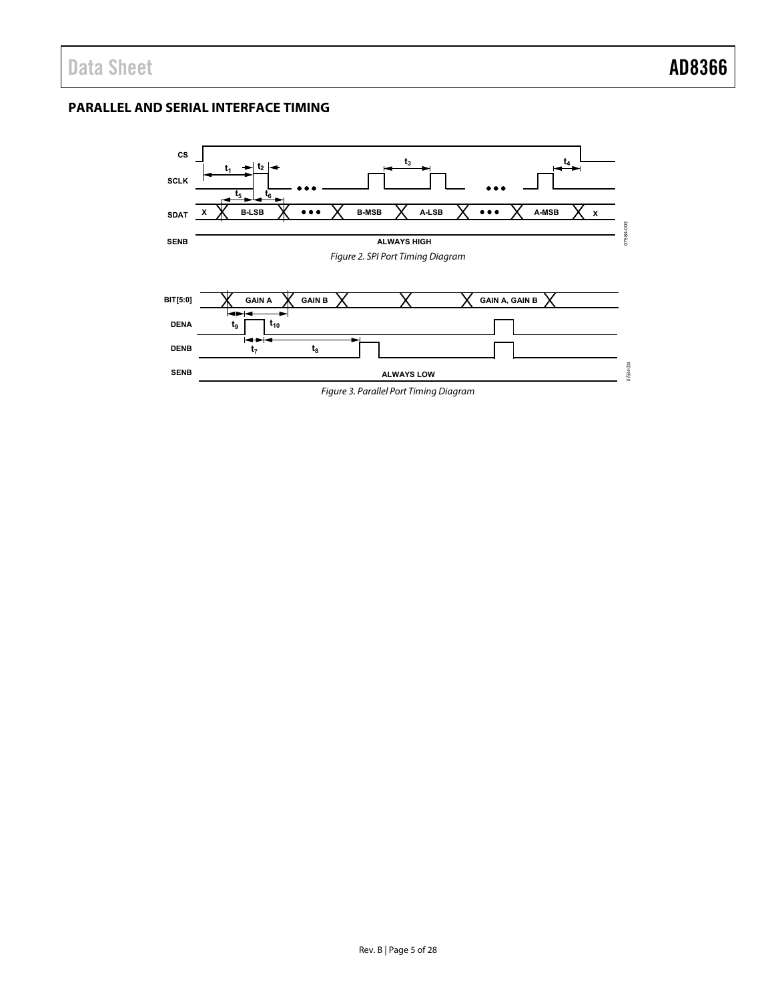## <span id="page-4-0"></span>**PARALLEL AND SERIAL INTERFACE TIMING**

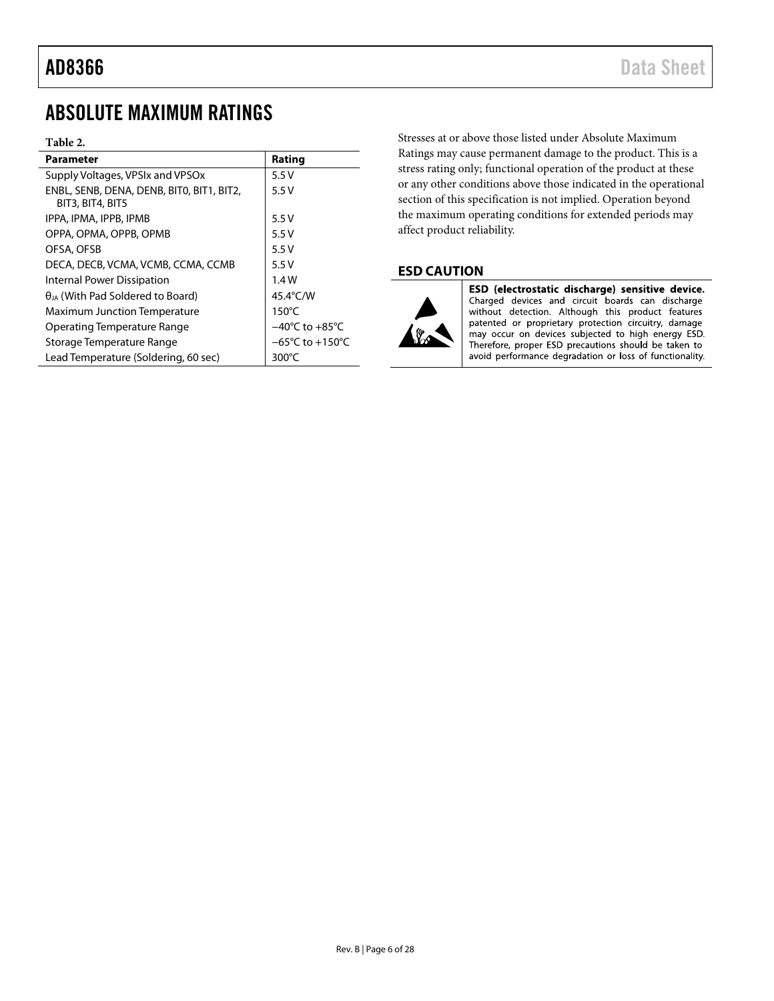## <span id="page-5-0"></span>ABSOLUTE MAXIMUM RATINGS

### **Table 2.**

| <b>Parameter</b>                                              | Rating                              |
|---------------------------------------------------------------|-------------------------------------|
| Supply Voltages, VPSIx and VPSOx                              | 5.5V                                |
| ENBL, SENB, DENA, DENB, BITO, BIT1, BIT2,<br>BIT3, BIT4, BIT5 | 5.5V                                |
| IPPA, IPMA, IPPB, IPMB                                        | 5.5V                                |
| OPPA, OPMA, OPPB, OPMB                                        | 5.5V                                |
| OFSA, OFSB                                                    | 5.5V                                |
| DECA, DECB, VCMA, VCMB, CCMA, CCMB                            | 5.5V                                |
| Internal Power Dissipation                                    | 1.4W                                |
| $\theta_{IA}$ (With Pad Soldered to Board)                    | 45.4°C/W                            |
| Maximum Junction Temperature                                  | $150^{\circ}$ C                     |
| Operating Temperature Range                                   | $-40^{\circ}$ C to $+85^{\circ}$ C  |
| Storage Temperature Range                                     | $-65^{\circ}$ C to $+150^{\circ}$ C |
| Lead Temperature (Soldering, 60 sec)                          | 300 $\degree$ C                     |

Stresses at or above those listed under Absolute Maximum Ratings may cause permanent damage to the product. This is a stress rating only; functional operation of the product at these or any other conditions above those indicated in the operational section of this specification is not implied. Operation beyond the maximum operating conditions for extended periods may affect product reliability.

## <span id="page-5-1"></span>**ESD CAUTION**



ESD (electrostatic discharge) sensitive device. Charged devices and circuit boards can discharge<br>without detection. Although this product features patented or proprietary protection circuitry, damage may occur on devices subjected to high energy ESD. Therefore, proper ESD precautions should be taken to avoid performance degradation or loss of functionality.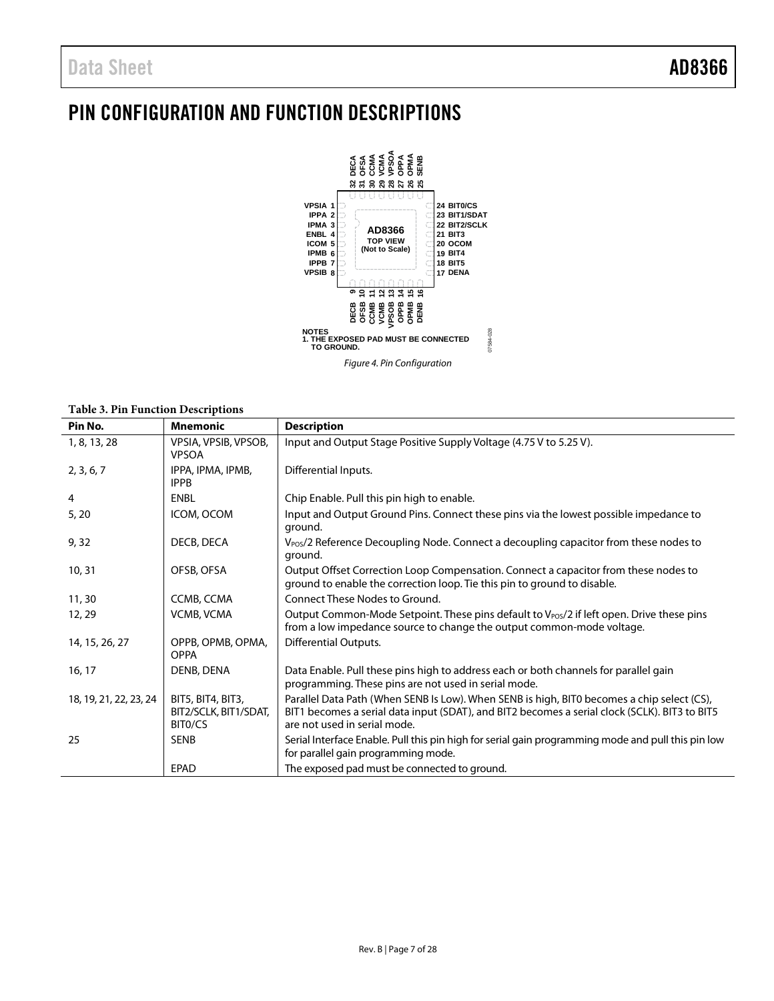# <span id="page-6-0"></span>PIN CONFIGURATION AND FUNCTION DESCRIPTIONS



### **Table 3. Pin Function Descriptions**

| Pin No.                | <b>Mnemonic</b>                                       | <b>Description</b>                                                                                                                                                                                                          |
|------------------------|-------------------------------------------------------|-----------------------------------------------------------------------------------------------------------------------------------------------------------------------------------------------------------------------------|
| 1, 8, 13, 28           | VPSIA, VPSIB, VPSOB,<br><b>VPSOA</b>                  | Input and Output Stage Positive Supply Voltage (4.75 V to 5.25 V).                                                                                                                                                          |
| 2, 3, 6, 7             | IPPA, IPMA, IPMB,<br><b>IPPB</b>                      | Differential Inputs.                                                                                                                                                                                                        |
| 4                      | <b>ENBL</b>                                           | Chip Enable. Pull this pin high to enable.                                                                                                                                                                                  |
| 5, 20                  | ICOM, OCOM                                            | Input and Output Ground Pins. Connect these pins via the lowest possible impedance to<br>ground.                                                                                                                            |
| 9,32                   | DECB, DECA                                            | V <sub>POS</sub> /2 Reference Decoupling Node. Connect a decoupling capacitor from these nodes to<br>ground.                                                                                                                |
| 10, 31                 | OFSB, OFSA                                            | Output Offset Correction Loop Compensation. Connect a capacitor from these nodes to<br>ground to enable the correction loop. Tie this pin to ground to disable.                                                             |
| 11, 30                 | CCMB, CCMA                                            | Connect These Nodes to Ground.                                                                                                                                                                                              |
| 12, 29                 | <b>VCMB, VCMA</b>                                     | Output Common-Mode Setpoint. These pins default to $V_{\text{POS}}/2$ if left open. Drive these pins<br>from a low impedance source to change the output common-mode voltage.                                               |
| 14, 15, 26, 27         | OPPB, OPMB, OPMA,<br><b>OPPA</b>                      | <b>Differential Outputs.</b>                                                                                                                                                                                                |
| 16, 17                 | DENB, DENA                                            | Data Enable. Pull these pins high to address each or both channels for parallel gain<br>programming. These pins are not used in serial mode.                                                                                |
| 18, 19, 21, 22, 23, 24 | BIT5, BIT4, BIT3,<br>BIT2/SCLK, BIT1/SDAT,<br>BITO/CS | Parallel Data Path (When SENB Is Low). When SENB is high, BITO becomes a chip select (CS),<br>BIT1 becomes a serial data input (SDAT), and BIT2 becomes a serial clock (SCLK). BIT3 to BIT5<br>are not used in serial mode. |
| 25                     | <b>SENB</b>                                           | Serial Interface Enable. Pull this pin high for serial gain programming mode and pull this pin low<br>for parallel gain programming mode.                                                                                   |
|                        | EPAD                                                  | The exposed pad must be connected to ground.                                                                                                                                                                                |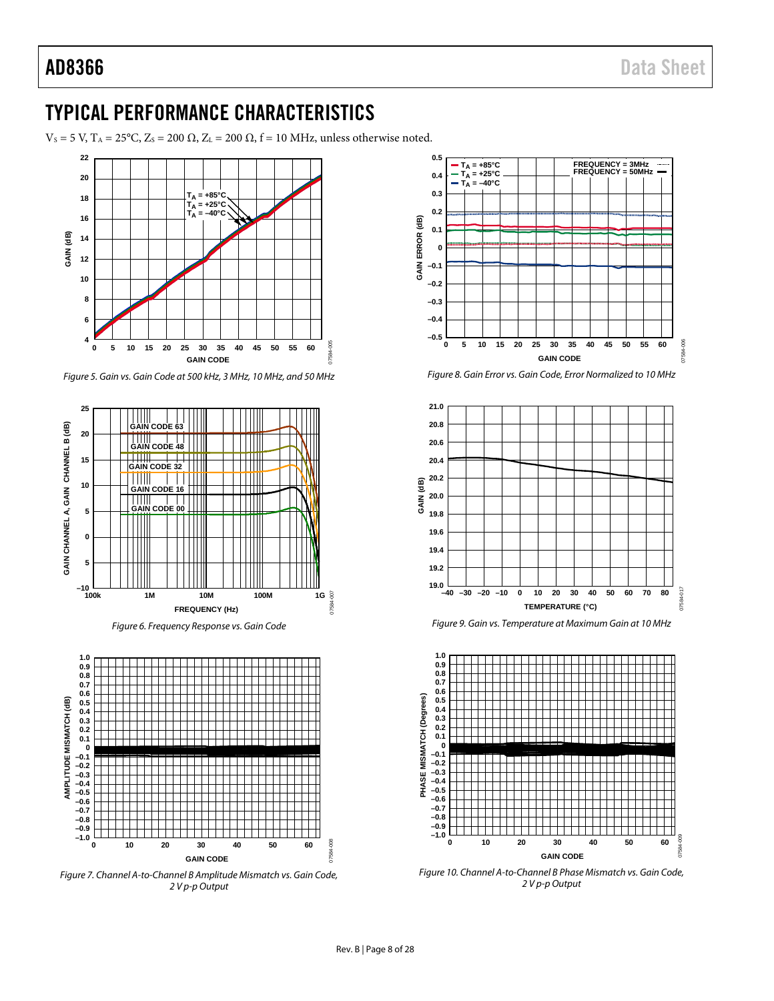## <span id="page-7-0"></span>TYPICAL PERFORMANCE CHARACTERISTICS

 $V_s = 5$  V,  $T_A = 25$ °C,  $Z_s = 200 \Omega$ ,  $Z_L = 200 \Omega$ ,  $f = 10$  MHz, unless otherwise noted.



*Figure 5. Gain vs. Gain Code at 500 kHz, 3 MHz, 10 MHz, and 50 MHz*



*Figure 6. Frequency Response vs. Gain Code*



<span id="page-7-1"></span>*Figure 7. Channel A-to-Channel B Amplitude Mismatch vs. Gain Code, 2 V p-p Output*











<span id="page-7-2"></span>*Figure 10. Channel A-to-Channel B Phase Mismatch vs. Gain Code, 2 V p-p Output*

07584-008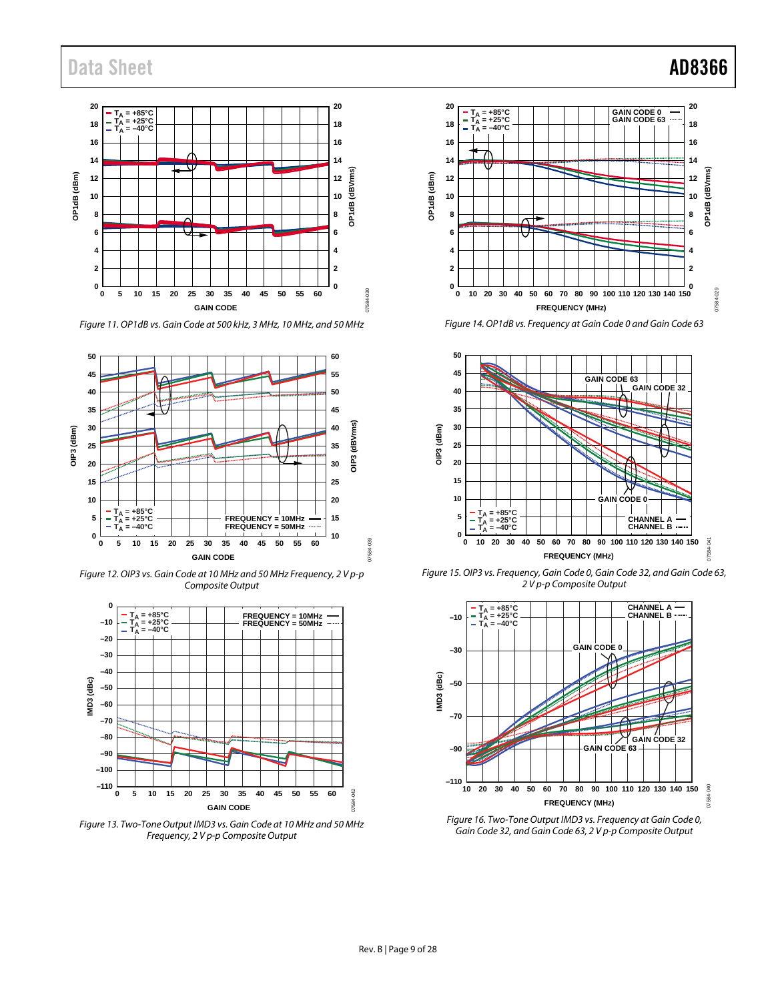## Data Sheet **AD8366**



*Figure 11. OP1dB vs. Gain Code at 500 kHz, 3 MHz, 10 MHz, and 50 MHz*



*Figure 12. OIP3 vs. Gain Code at 10 MHz and 50 MHz Frequency, 2 V p-p Composite Output*



*Figure 13. Two-Tone Output IMD3 vs. Gain Code at 10 MHz and 50 MHz Frequency, 2 V p-p Composite Output*



*Figure 14. OP1dB vs. Frequency at Gain Code 0 and Gain Code 63*



*Figure 15. OIP3 vs. Frequency, Gain Code 0, Gain Code 32, and Gain Code 63, 2 V p-p Composite Output*



*Figure 16. Two-Tone Output IMD3 vs. Frequency at Gain Code 0, Gain Code 32, and Gain Code 63, 2 V p-p Composite Output*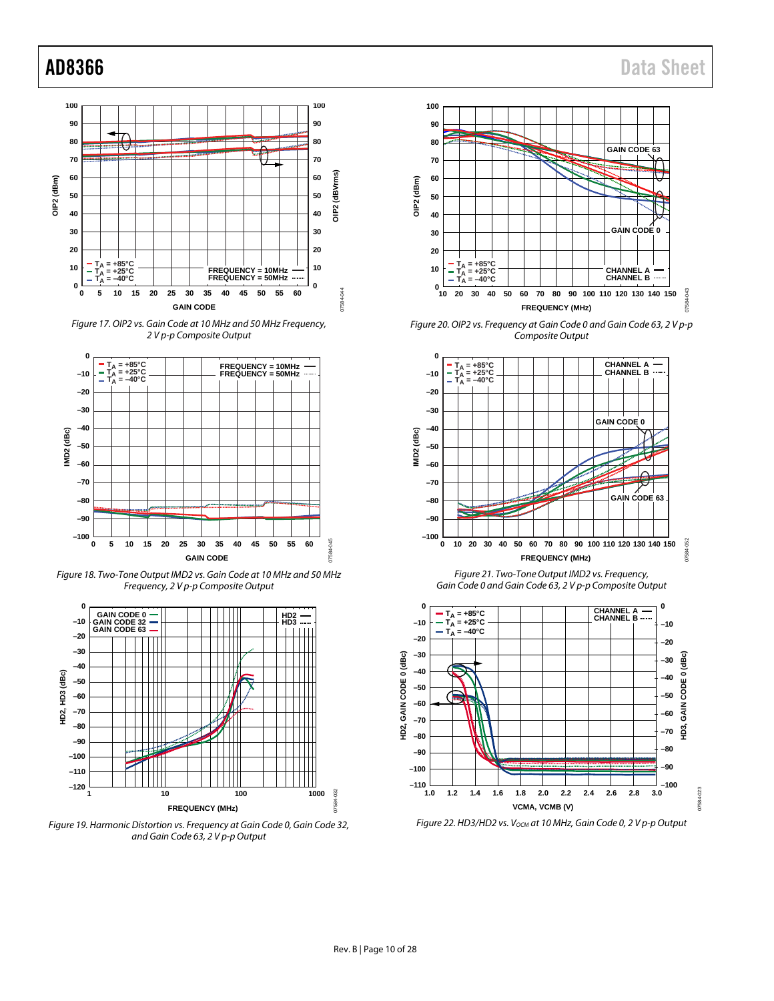

*Figure 17. OIP2 vs. Gain Code at 10 MHz and 50 MHz Frequency, 2 V p-p Composite Output*



*Figure 18. Two-Tone Output IMD2 vs. Gain Code at 10 MHz and 50 MHz Frequency, 2 V p-p Composite Output*



*Figure 19. Harmonic Distortion vs. Frequency at Gain Code 0, Gain Code 32, and Gain Code 63, 2 V p-p Output* 



*Figure 20. OIP2 vs. Frequency at Gain Code 0 and Gain Code 63, 2 V p-p Composite Output* 



*Figure 21. Two-Tone Output IMD2 vs. Frequency, Gain Code 0 and Gain Code 63, 2 V p-p Composite Output* 



*Figure 22. HD3/HD2 vs. Vocm at 10 MHz, Gain Code 0, 2 V p-p Output*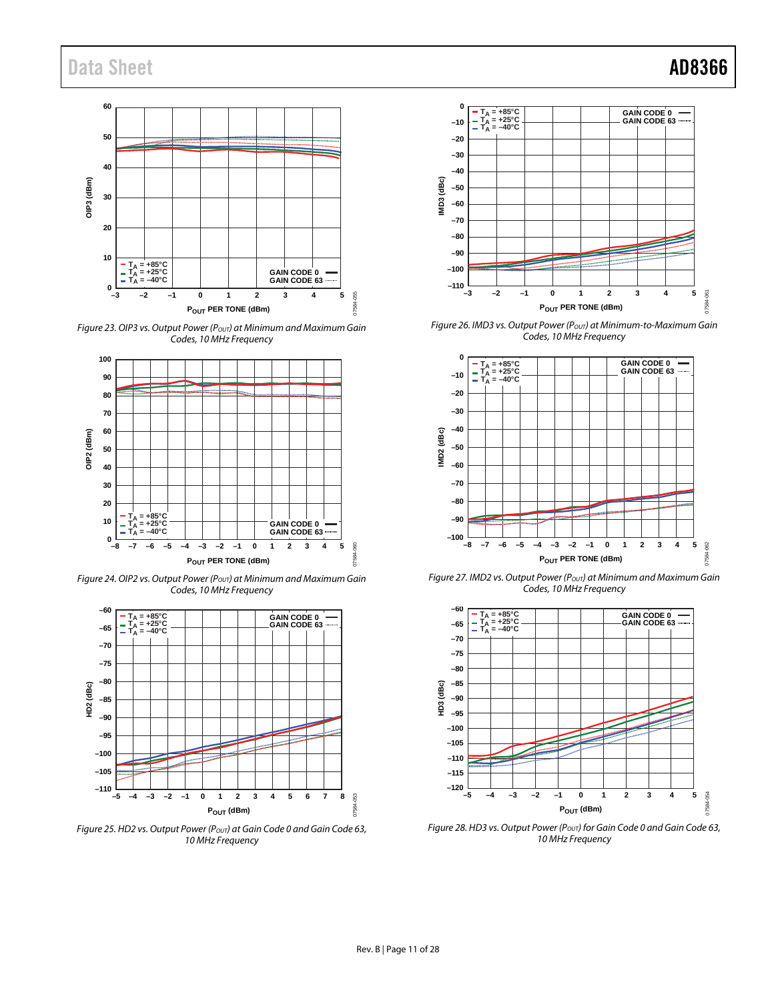

*Figure 23. OIP3 vs. Output Power (P<sub>OVT</sub>) at Minimum and Maximum Gain Codes, 10 MHz Frequency*



*Figure 24. OIP2 vs. Output Power (POUT) at Minimum and Maximum Gain Codes, 10 MHz Frequency*



*Figure 25. HD2 vs. Output Power (P<sub>OUT</sub>) at Gain Code 0 and Gain Code 63, 10 MHz Frequency* 



*Figure 26. IMD3 vs. Output Power (P<sub>OUT</sub>) at Minimum-to-Maximum Gain Codes, 10 MHz Frequency* 



Figure 27. IMD2 vs. Output Power (Pout) at Minimum and Maximum Gain *Codes, 10 MHz Frequency*



*Figure 28. HD3 vs. Output Power (Pout) for Gain Code 0 and Gain Code 63, 10 MHz Frequency*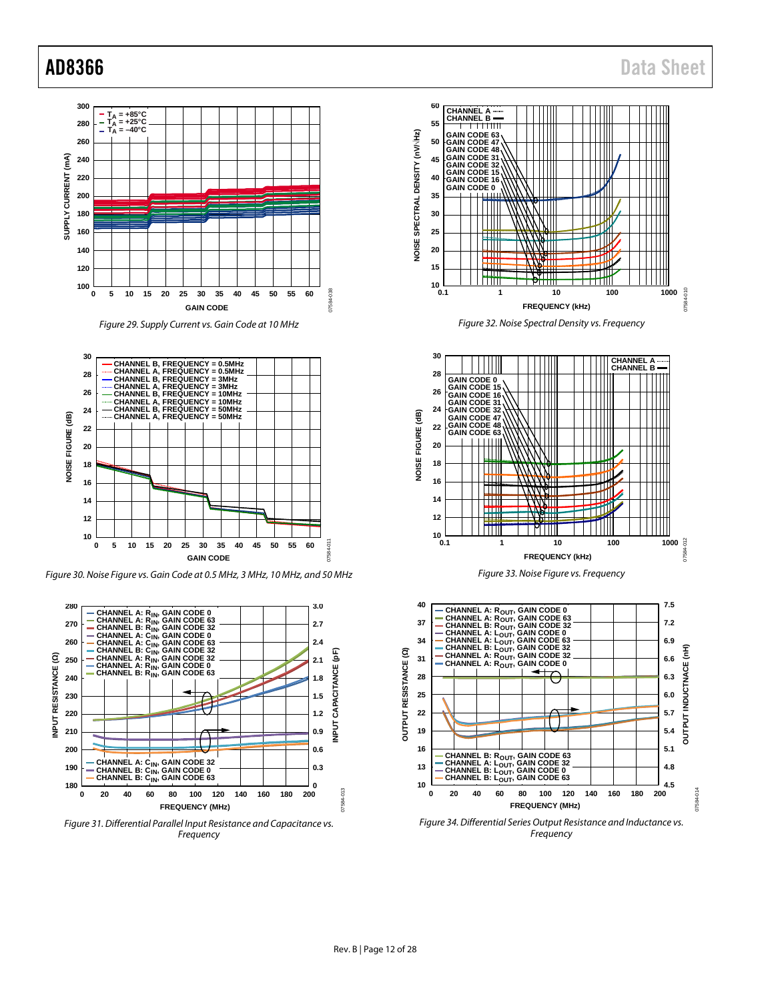



*Figure 30. Noise Figure vs. Gain Code at 0.5 MHz, 3 MHz, 10 MHz, and 50 MHz*















## AD8366 Data Sheet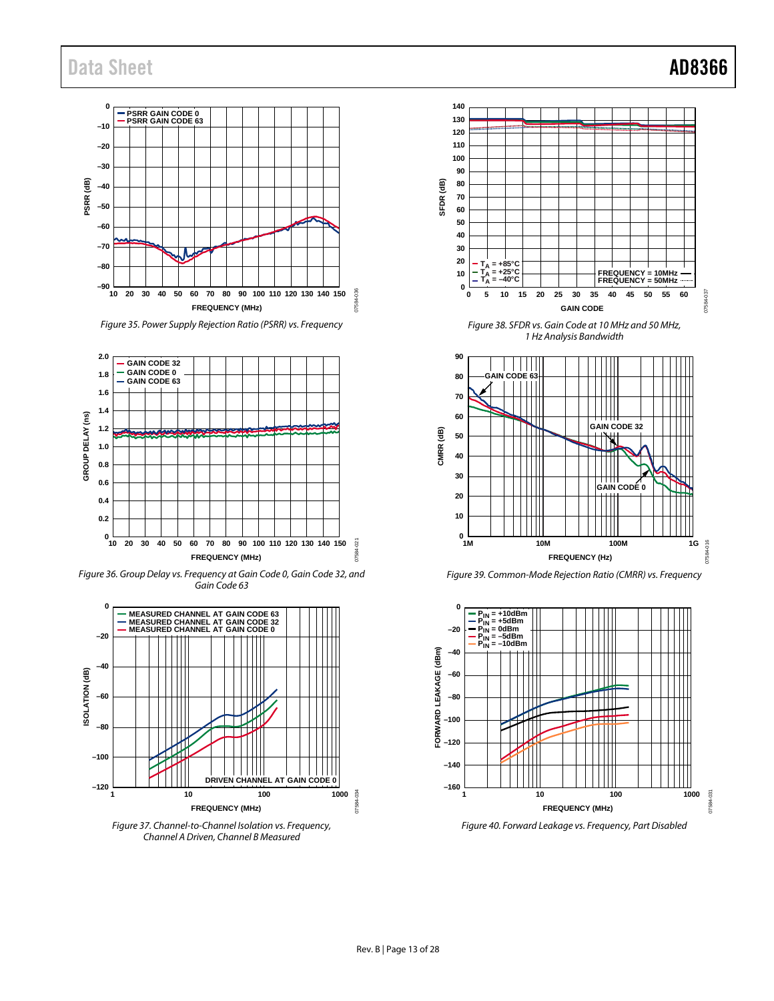

*Figure 35. Power Supply Rejection Ratio (PSRR) vs. Frequency*



*Figure 36. Group Delay vs. Frequency at Gain Code 0, Gain Code 32, and Gain Code 63*



*Channel A Driven, Channel B Measured* 



*Figure 38. SFDR vs. Gain Code at 10 MHz and 50 MHz, 1 Hz Analysis Bandwidth*



*Figure 39. Common-Mode Rejection Ratio (CMRR) vs. Frequency*

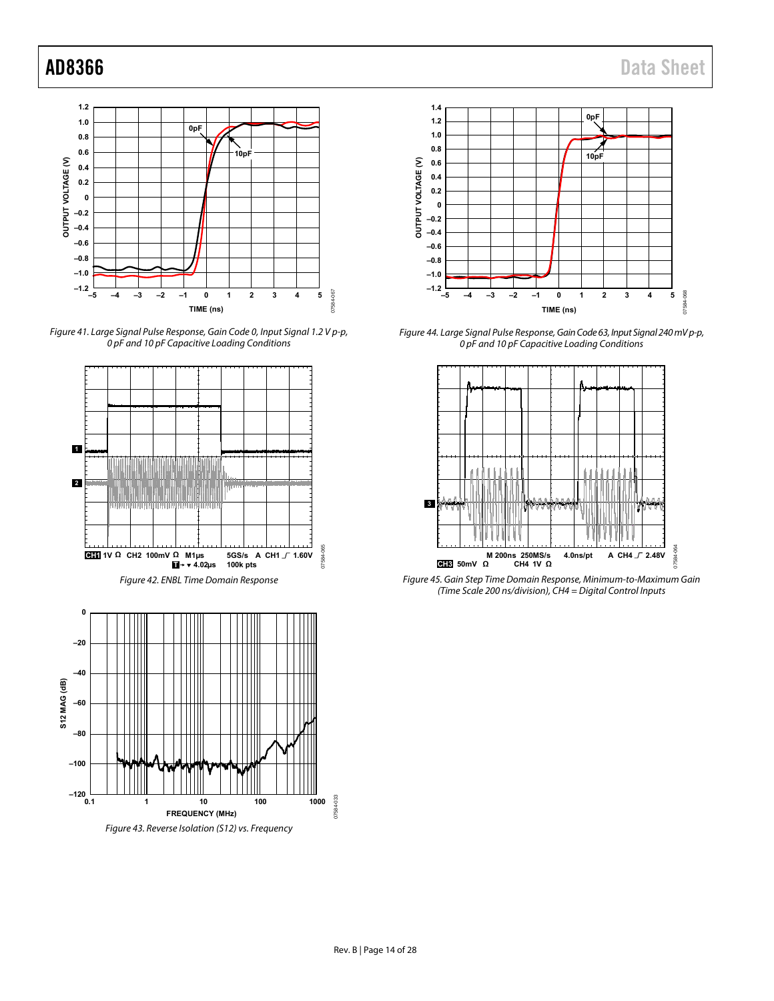

Figure 41. Large Signal Pulse Response, Gain Code 0, Input Signal 1.2 V p-p, 0 pF and 10 pF Capacitive Loading Conditions





Figure 44. Large Signal Pulse Response, Gain Code 63, Input Signal 240 mV p-p, 0 pF and 10 pF Capacitive Loading Conditions



Figure 45. Gain Step Time Domain Response, Minimum-to-Maximum Gain (Time Scale 200 ns/division), CH4 = Digital Control Inputs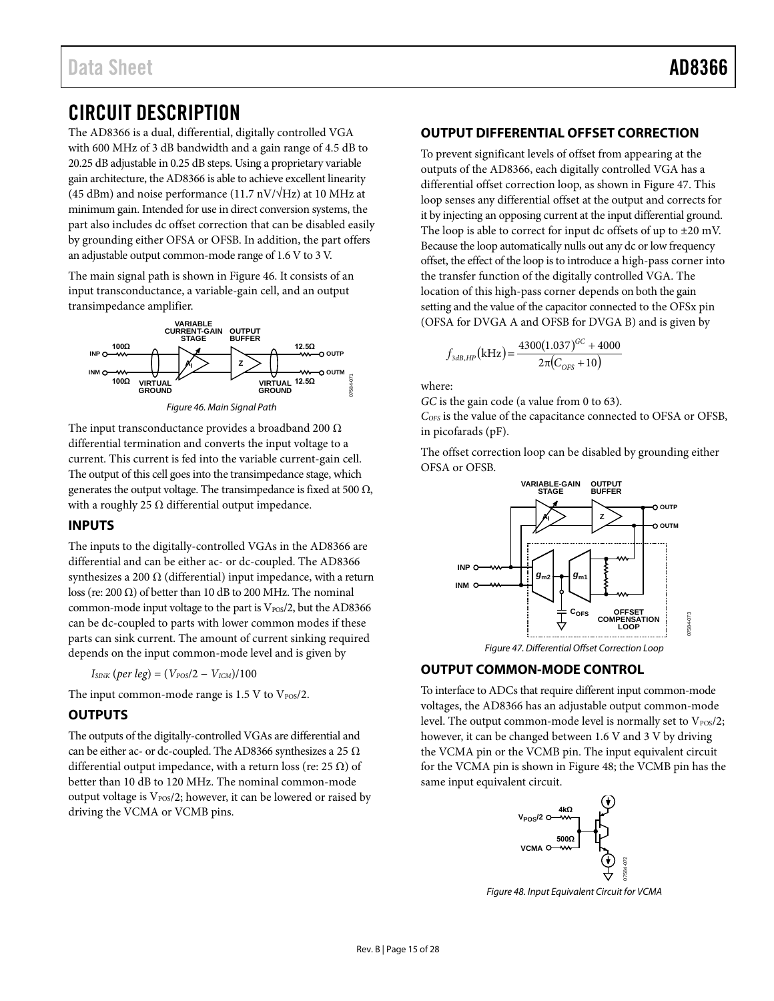## <span id="page-14-0"></span>CIRCUIT DESCRIPTION

The AD8366 is a dual, differential, digitally controlled VGA with 600 MHz of 3 dB bandwidth and a gain range of 4.5 dB to 20.25 dB adjustable in 0.25 dB steps. Using a proprietary variable gain architecture, the AD8366 is able to achieve excellent linearity (45 dBm) and noise performance (11.7 nV/ $\sqrt{Hz}$ ) at 10 MHz at minimum gain. Intended for use in direct conversion systems, the part also includes dc offset correction that can be disabled easily by grounding either OFSA or OFSB. In addition, the part offers an adjustable output common-mode range of 1.6 V to 3 V.

The main signal path is shown i[n Figure 46.](#page-14-5) It consists of an input transconductance, a variable-gain cell, and an output transimpedance amplifier.



<span id="page-14-5"></span>The input transconductance provides a broadband 200  $\Omega$ differential termination and converts the input voltage to a current. This current is fed into the variable current-gain cell. The output of this cell goes into the transimpedance stage, which generates the output voltage. The transimpedance is fixed at 500  $\Omega$ , with a roughly 25  $\Omega$  differential output impedance.

## <span id="page-14-1"></span>**INPUTS**

The inputs to the digitally-controlled VGAs in the AD8366 are differential and can be either ac- or dc-coupled. The AD8366 synthesizes a 200  $\Omega$  (differential) input impedance, with a return loss (re: 200 Ω) of better than 10 dB to 200 MHz. The nominal common-mode input voltage to the part is  $V_{POS}/2$ , but the AD8366 can be dc-coupled to parts with lower common modes if these parts can sink current. The amount of current sinking required depends on the input common-mode level and is given by

 $I_{\text{SINK}}$  (*per leg*) = ( $V_{\text{POS}}/2 - V_{\text{ICM}}$ )/100

The input common-mode range is  $1.5$  V to  $V_{\text{pos}}/2$ .

## <span id="page-14-2"></span>**OUTPUTS**

The outputs of the digitally-controlled VGAs are differential and can be either ac- or dc-coupled. The AD8366 synthesizes a 25  $\Omega$ differential output impedance, with a return loss (re: 25  $\Omega$ ) of better than 10 dB to 120 MHz. The nominal common-mode output voltage is  $V_{POS}/2$ ; however, it can be lowered or raised by driving the VCMA or VCMB pins.

## <span id="page-14-3"></span>**OUTPUT DIFFERENTIAL OFFSET CORRECTION**

To prevent significant levels of offset from appearing at the outputs of the AD8366, each digitally controlled VGA has a differential offset correction loop, as shown i[n Figure 47.](#page-14-6) This loop senses any differential offset at the output and corrects for it by injecting an opposing current at the input differential ground. The loop is able to correct for input dc offsets of up to ±20 mV. Because the loop automatically nulls out any dc or low frequency offset, the effect of the loop is to introduce a high-pass corner into the transfer function of the digitally controlled VGA. The location of this high-pass corner depends on both the gain setting and the value of the capacitor connected to the OFSx pin (OFSA for DVGA A and OFSB for DVGA B) and is given by

$$
f_{3dB,HP}(\text{kHz}) = \frac{4300(1.037)^{GC} + 4000}{2\pi (C_{OFS} + 10)}
$$

where:

*GC* is the gain code (a value from 0 to 63).

*COFS* is the value of the capacitance connected to OFSA or OFSB, in picofarads (pF).

The offset correction loop can be disabled by grounding either OFSA or OFSB.



*Figure 47. Differential Offset Correction Loop* 

## <span id="page-14-6"></span><span id="page-14-4"></span>**OUTPUT COMMON-MODE CONTROL**

To interface to ADCs that require different input common-mode voltages, the AD8366 has an adjustable output common-mode level. The output common-mode level is normally set to  $V_{POS}/2$ ; however, it can be changed between 1.6 V and 3 V by driving the VCMA pin or the VCMB pin. The input equivalent circuit for the VCMA pin is shown in [Figure 48;](#page-14-7) the VCMB pin has the same input equivalent circuit.



<span id="page-14-7"></span>*Figure 48. Input Equivalent Circuit for VCMA*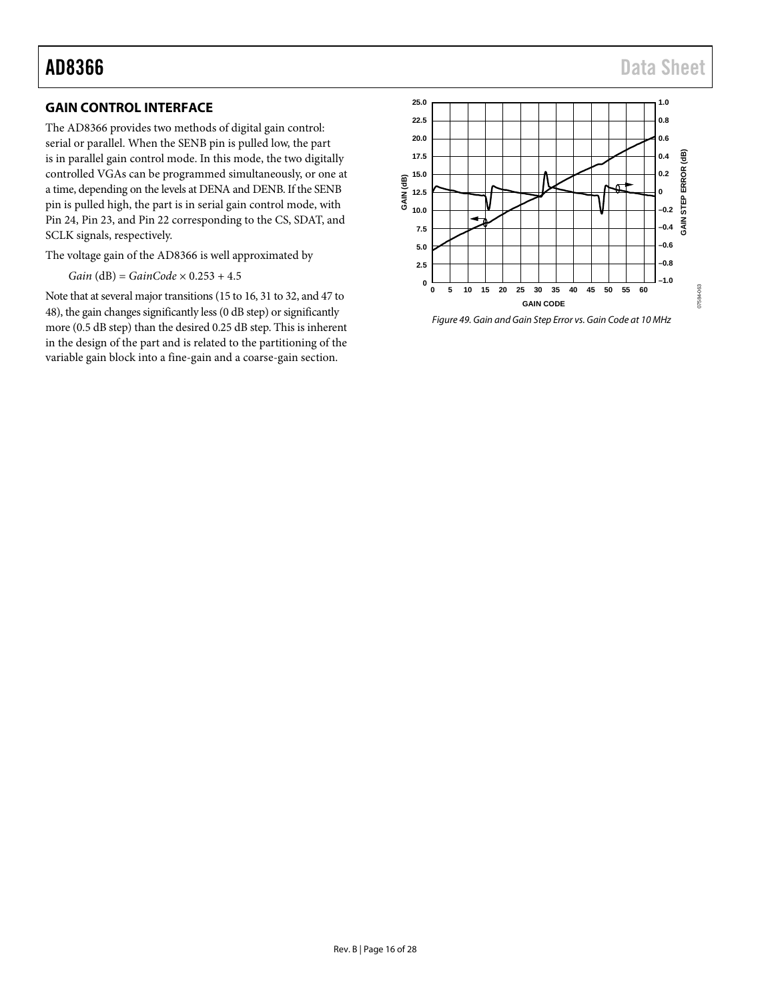## AD8366 Data Sheet

## <span id="page-15-0"></span>**GAIN CONTROL INTERFACE**

The AD8366 provides two methods of digital gain control: serial or parallel. When the SENB pin is pulled low, the part is in parallel gain control mode. In this mode, the two digitally controlled VGAs can be programmed simultaneously, or one at a time, depending on the levels at DENA and DENB. If the SENB pin is pulled high, the part is in serial gain control mode, with Pin 24, Pin 23, and Pin 22 corresponding to the CS, SDAT, and SCLK signals, respectively.

The voltage gain of the AD8366 is well approximated by

*Gain* (dB) = *GainCode* × 0.253 + 4.5

Note that at several major transitions (15 to 16, 31 to 32, and 47 to 48), the gain changes significantly less (0 dB step) or significantly more (0.5 dB step) than the desired 0.25 dB step. This is inherent in the design of the part and is related to the partitioning of the variable gain block into a fine-gain and a coarse-gain section.



*Figure 49. Gain and Gain Step Error vs. Gain Code at 10 MHz*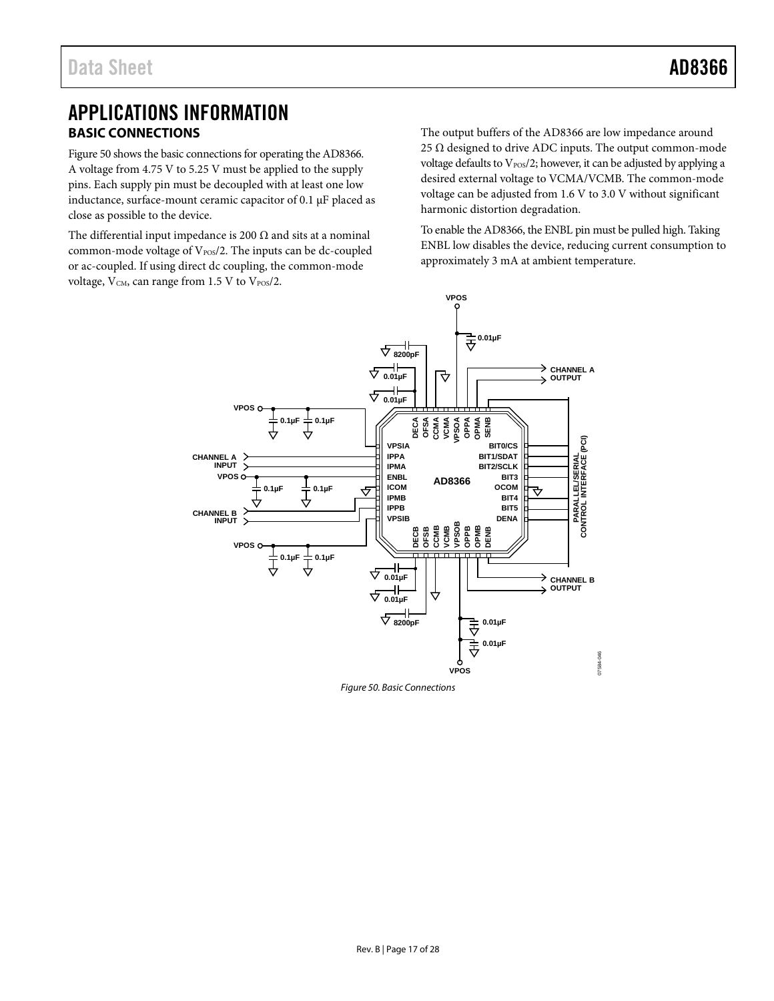## <span id="page-16-0"></span>APPLICATIONS INFORMATION **BASIC CONNECTIONS**

<span id="page-16-1"></span>[Figure 50](#page-16-2) shows the basic connections for operating the AD8366. A voltage from 4.75 V to 5.25 V must be applied to the supply pins. Each supply pin must be decoupled with at least one low inductance, surface-mount ceramic capacitor of 0.1 µF placed as close as possible to the device.

The differential input impedance is 200  $\Omega$  and sits at a nominal common-mode voltage of  $V_{POS}/2$ . The inputs can be dc-coupled or ac-coupled. If using direct dc coupling, the common-mode voltage, V<sub>CM</sub>, can range from 1.5 V to V<sub>POS</sub>/2.

The output buffers of the AD8366 are low impedance around 25  $\Omega$  designed to drive ADC inputs. The output common-mode voltage defaults to  $V_{\text{pos}}/2$ ; however, it can be adjusted by applying a desired external voltage to VCMA/VCMB. The common-mode voltage can be adjusted from 1.6 V to 3.0 V without significant harmonic distortion degradation.

To enable the AD8366, the ENBL pin must be pulled high. Taking ENBL low disables the device, reducing current consumption to approximately 3 mA at ambient temperature.



<span id="page-16-2"></span>*Figure 50. Basic Connections*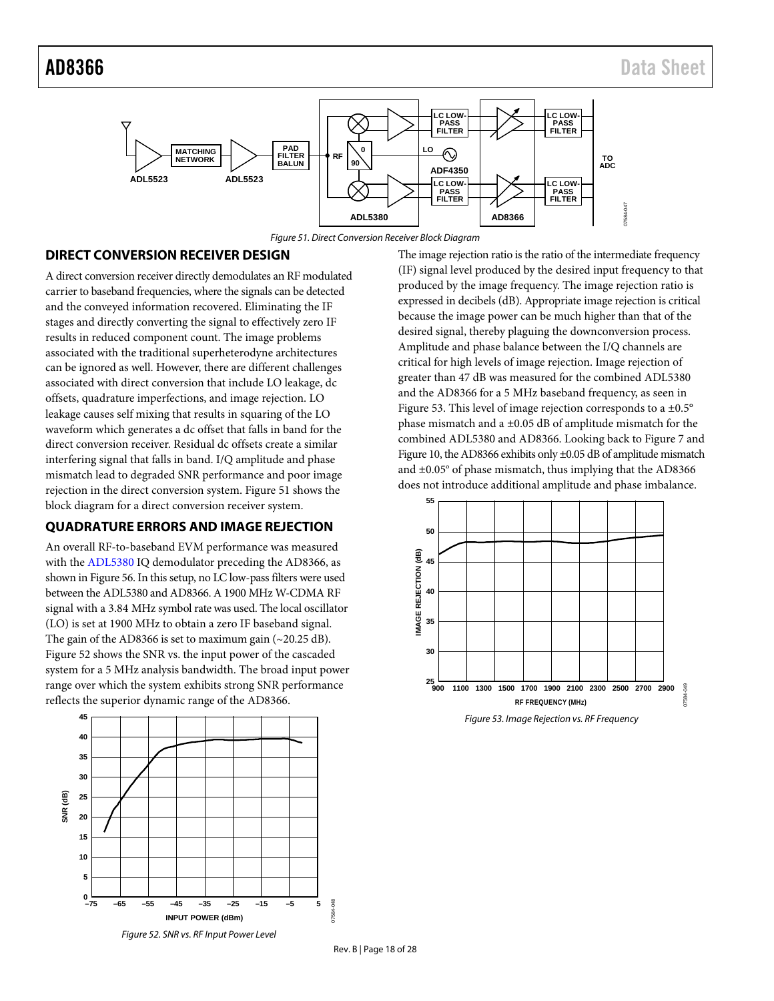

*Figure 51. Direct Conversion Receiver Block Diagram* 

### <span id="page-17-2"></span><span id="page-17-0"></span>**DIRECT CONVERSION RECEIVER DESIGN**

A direct conversion receiver directly demodulates an RF modulated carrier to baseband frequencies, where the signals can be detected and the conveyed information recovered. Eliminating the IF stages and directly converting the signal to effectively zero IF results in reduced component count. The image problems associated with the traditional superheterodyne architectures can be ignored as well. However, there are different challenges associated with direct conversion that include LO leakage, dc offsets, quadrature imperfections, and image rejection. LO leakage causes self mixing that results in squaring of the LO waveform which generates a dc offset that falls in band for the direct conversion receiver. Residual dc offsets create a similar interfering signal that falls in band. I/Q amplitude and phase mismatch lead to degraded SNR performance and poor image rejection in the direct conversion system. [Figure 51](#page-17-2) shows the block diagram for a direct conversion receiver system.

## <span id="page-17-1"></span>**QUADRATURE ERRORS AND IMAGE REJECTION**

An overall RF-to-baseband EVM performance was measured with th[e ADL5380](http://www.analog.com/ADL5380) IQ demodulator preceding the AD8366, as shown i[n Figure 56.](#page-19-0) In this setup, no LC low-pass filters were used between th[e ADL5380](http://www.analog.com/ADL5380) and AD8366. A 1900 MHz W-CDMA RF signal with a 3.84 MHz symbol rate was used. The local oscillator (LO) is set at 1900 MHz to obtain a zero IF baseband signal. The gain of the AD8366 is set to maximum gain  $(-20.25 \text{ dB})$ . [Figure 52 s](#page-17-3)hows the SNR vs. the input power of the cascaded system for a 5 MHz analysis bandwidth. The broad input power range over which the system exhibits strong SNR performance reflects the superior dynamic range of the AD8366.

<span id="page-17-3"></span>

The image rejection ratio is the ratio of the intermediate frequency (IF) signal level produced by the desired input frequency to that produced by the image frequency. The image rejection ratio is expressed in decibels (dB). Appropriate image rejection is critical because the image power can be much higher than that of the desired signal, thereby plaguing the downconversion process. Amplitude and phase balance between the I/Q channels are critical for high levels of image rejection. Image rejection of greater than 47 dB was measured for the combined [ADL5380](http://www.analog.com/ADL5380) and the AD8366 for a 5 MHz baseband frequency, as seen in [Figure 53.](#page-17-4) This level of image rejection corresponds to a ±0.5° phase mismatch and a ±0.05 dB of amplitude mismatch for the combined ADL5380 and AD8366. Looking back t[o Figure 7](#page-7-1) and [Figure 10,](#page-7-2) the AD8366 exhibits only ±0.05 dB of amplitude mismatch and  $\pm 0.05^\circ$  of phase mismatch, thus implying that the AD8366 does not introduce additional amplitude and phase imbalance.



<span id="page-17-4"></span>*Figure 53. Image Rejection vs. RF Frequency*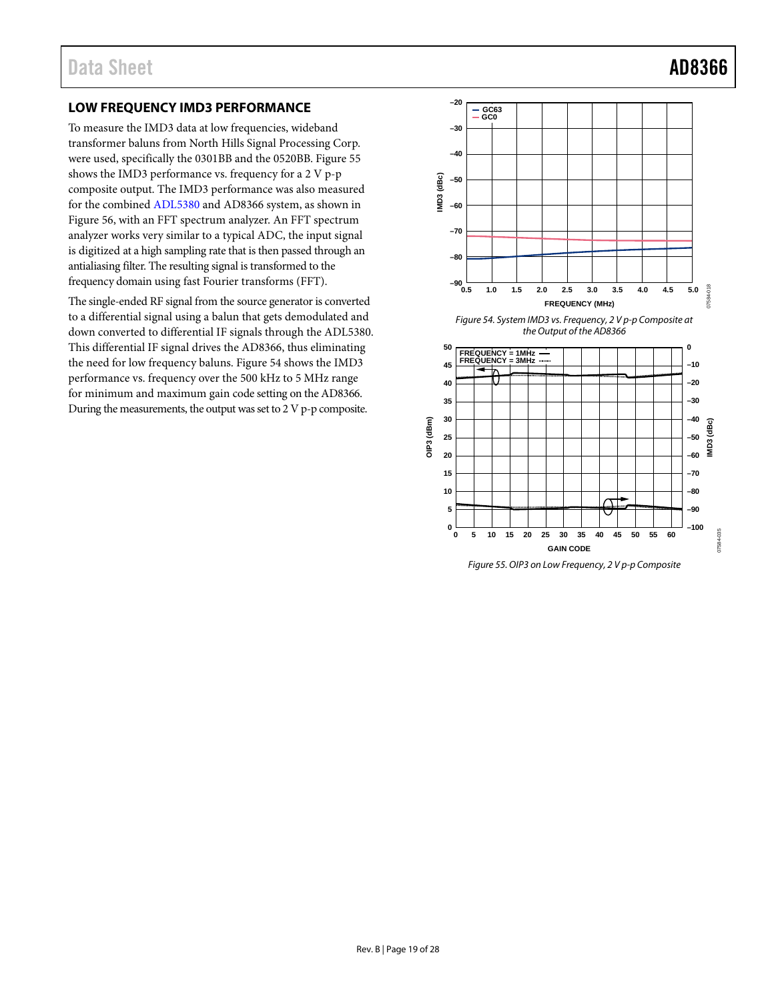## <span id="page-18-0"></span>**LOW FREQUENCY IMD3 PERFORMANCE**

To measure the IMD3 data at low frequencies, wideband transformer baluns from North Hills Signal Processing Corp. were used, specifically the 0301BB and the 0520BB. [Figure 55](#page-18-1) shows the IMD3 performance vs. frequency for a 2 V p-p composite output. The IMD3 performance was also measured for the combine[d ADL5380](http://www.analog.com/ADL5380) and AD8366 system, as shown in [Figure 56,](#page-19-0) with an FFT spectrum analyzer. An FFT spectrum analyzer works very similar to a typical ADC, the input signal is digitized at a high sampling rate that is then passed through an antialiasing filter. The resulting signal is transformed to the frequency domain using fast Fourier transforms (FFT).

The single-ended RF signal from the source generator is converted to a differential signal using a balun that gets demodulated and down converted to differential IF signals through th[e ADL5380.](http://www.analog.com/ADL5380)  This differential IF signal drives the AD8366, thus eliminating the need for low frequency baluns. [Figure 54](#page-18-2) shows the IMD3 performance vs. frequency over the 500 kHz to 5 MHz range for minimum and maximum gain code setting on the AD8366. During the measurements, the output was set to 2 V p-p composite.

<span id="page-18-2"></span>

<span id="page-18-1"></span>*Figure 55. OIP3 on Low Frequency, 2 V p-p Composite*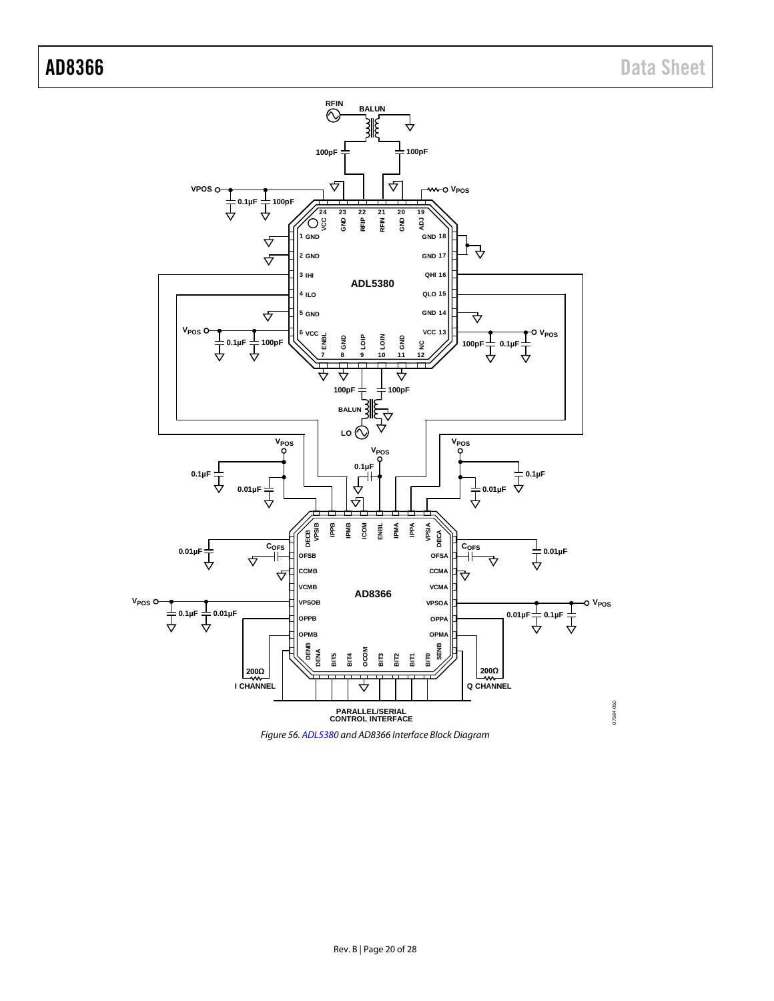

<span id="page-19-0"></span>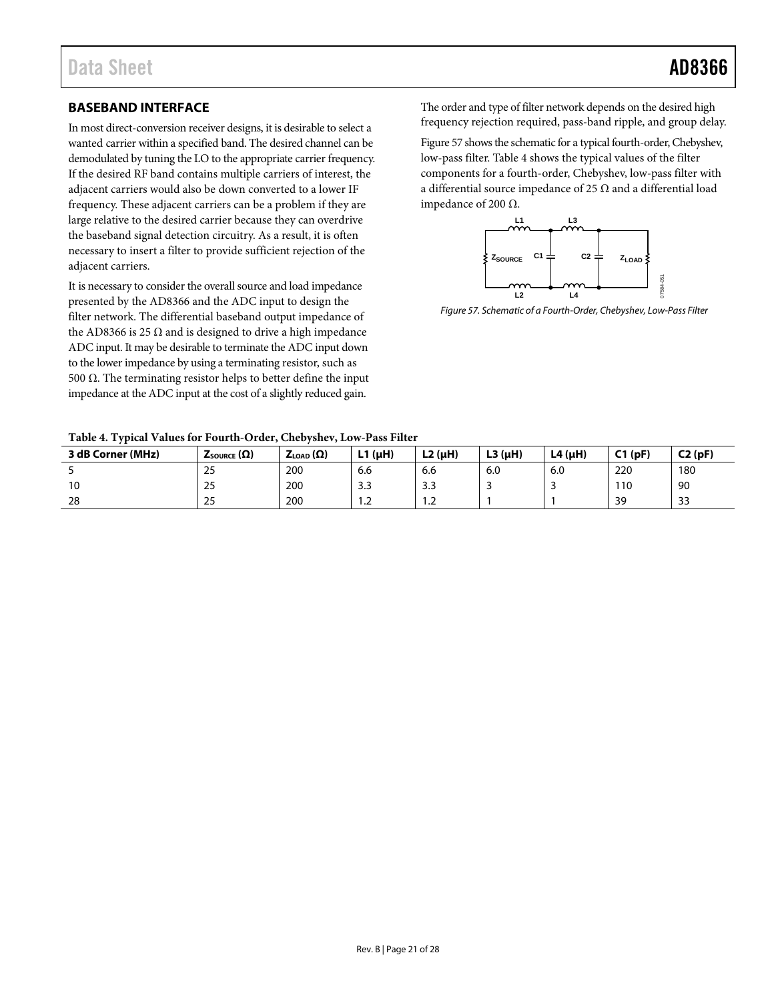## <span id="page-20-0"></span>**BASEBAND INTERFACE**

In most direct-conversion receiver designs, it is desirable to select a wanted carrier within a specified band. The desired channel can be demodulated by tuning the LO to the appropriate carrier frequency. If the desired RF band contains multiple carriers of interest, the adjacent carriers would also be down converted to a lower IF frequency. These adjacent carriers can be a problem if they are large relative to the desired carrier because they can overdrive the baseband signal detection circuitry. As a result, it is often necessary to insert a filter to provide sufficient rejection of the adjacent carriers.

It is necessary to consider the overall source and load impedance presented by the AD8366 and the ADC input to design the filter network. The differential baseband output impedance of the AD8366 is 25  $\Omega$  and is designed to drive a high impedance ADC input. It may be desirable to terminate the ADC input down to the lower impedance by using a terminating resistor, such as 500  $Ω$ . The terminating resistor helps to better define the input impedance at the ADC input at the cost of a slightly reduced gain.

The order and type of filter network depends on the desired high frequency rejection required, pass-band ripple, and group delay.

[Figure 57](#page-20-1) shows the schematic for a typical fourth-order, Chebyshev, low-pass filter. [Table 4](#page-20-2) shows the typical values of the filter components for a fourth-order, Chebyshev, low-pass filter with a differential source impedance of 25 Ω and a differential load impedance of 200 Ω.



<span id="page-20-1"></span>*Figure 57. Schematic of a Fourth-Order, Chebyshev, Low-Pass Filter*

<span id="page-20-2"></span>**Table 4. Typical Values for Fourth-Order, Chebyshev, Low-Pass Filter**

| 3 dB Corner (MHz) | $Z_{\text{SOWRCE}}(\Omega)$ | $Z_{\text{LOAD}}(\Omega)$ | .1 (μH)<br>. .       | $L2(\mu H)$ | $L3(\mu H)$ | L4 $(\mu H)$ | C1(pF) | C2(pF) |
|-------------------|-----------------------------|---------------------------|----------------------|-------------|-------------|--------------|--------|--------|
|                   | 25                          | 200                       | 6.6                  | 6.6         | 6.0         | 6.0          | 220    | 180    |
| טו                | 25                          | 200                       | $\sim$ $\sim$<br>د.د | ر.ر         |             |              | 110    | 90     |
| 28                | 25                          | 200                       | $\cdot$              | ے. ا        |             |              | 39     | 33     |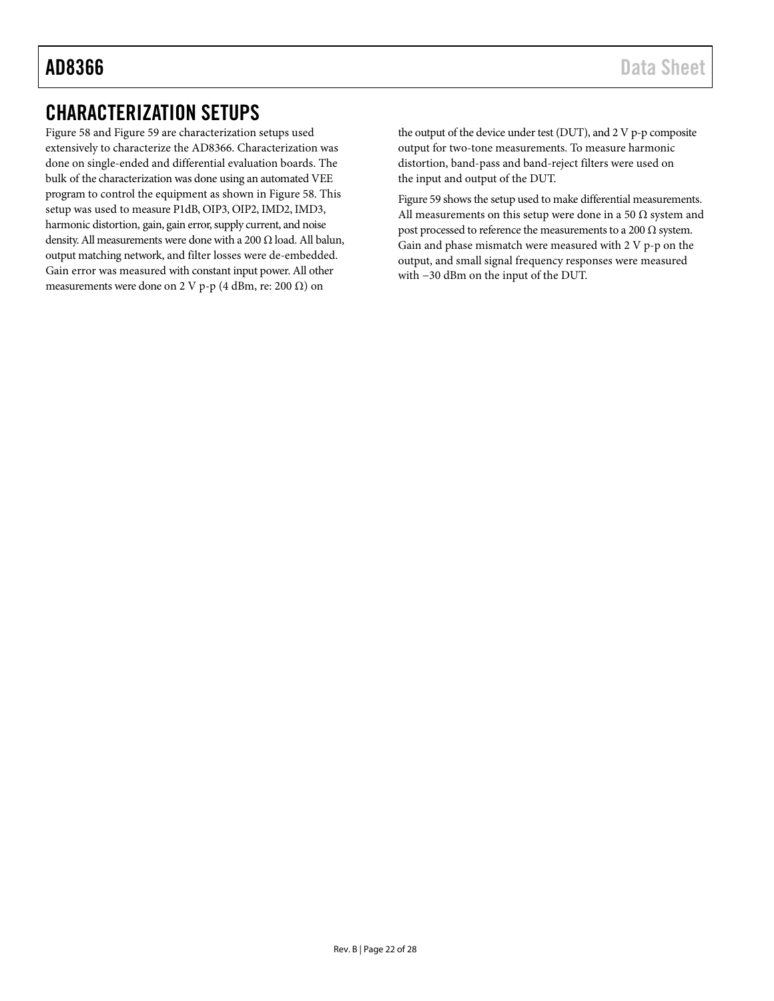## <span id="page-21-0"></span>CHARACTERIZATION SETUPS

[Figure 58](#page-22-0) an[d Figure 59](#page-23-0) are characterization setups used extensively to characterize the AD8366. Characterization was done on single-ended and differential evaluation boards. The bulk of the characterization was done using an automated VEE program to control the equipment as shown in [Figure 58.](#page-22-0) This setup was used to measure P1dB, OIP3, OIP2, IMD2, IMD3, harmonic distortion, gain, gain error, supply current, and noise density. All measurements were done with a 200 Ω load. All balun, output matching network, and filter losses were de-embedded. Gain error was measured with constant input power. All other measurements were done on 2 V p-p (4 dBm, re: 200  $\Omega$ ) on

the output of the device under test (DUT), and 2 V p-p composite output for two-tone measurements. To measure harmonic distortion, band-pass and band-reject filters were used on the input and output of the DUT.

[Figure 59](#page-23-0) shows the setup used to make differential measurements. All measurements on this setup were done in a 50  $\Omega$  system and post processed to reference the measurements to a 200  $\Omega$  system. Gain and phase mismatch were measured with 2 V p-p on the output, and small signal frequency responses were measured with −30 dBm on the input of the DUT.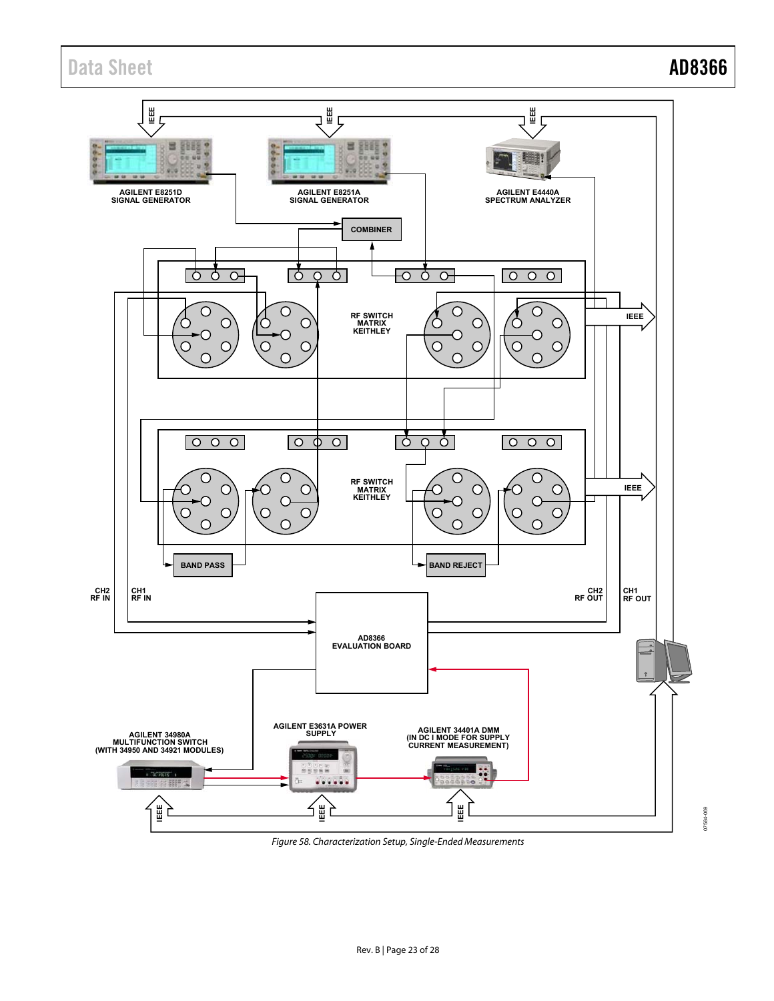## Data Sheet **AD8366**



<span id="page-22-0"></span>Figure 58. Characterization Setup, Single-Ended Measurements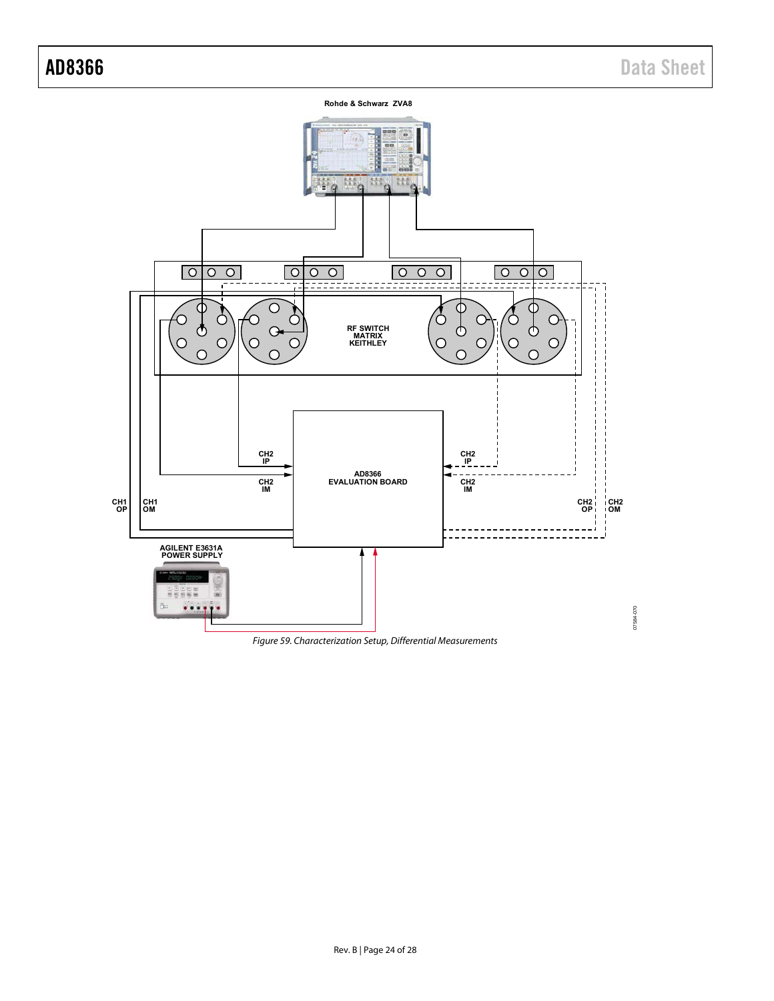**Rohde & Schwarz ZVA8** 551.4 結 蒜 ö  $\sqrt{200}$  $\overline{\circ}$  $\circ$   $\circ$   $\circ$  $\overline{\bigcirc}$ C Œ  $\circ$  $\mathsf{C}$ C у ტ Φ **RF SWITCH MATRIX KEITHLEY**  $\overline{O}$  $\overline{O}$ C O  $\overline{O}$ **CH2 IP CH2 IP AD8366 EVALUATION BOARD CH2 IM CH2 IM CH1 OP CH1 OM CH2 OP CH2 OM**  $\overline{a}$  $\overline{a}$ **AGILENT E3631A POWER SUPPLY BEBSB**  $...$ 07584070 07584-070

<span id="page-23-0"></span>Figure 59. Characterization Setup, Differential Measurements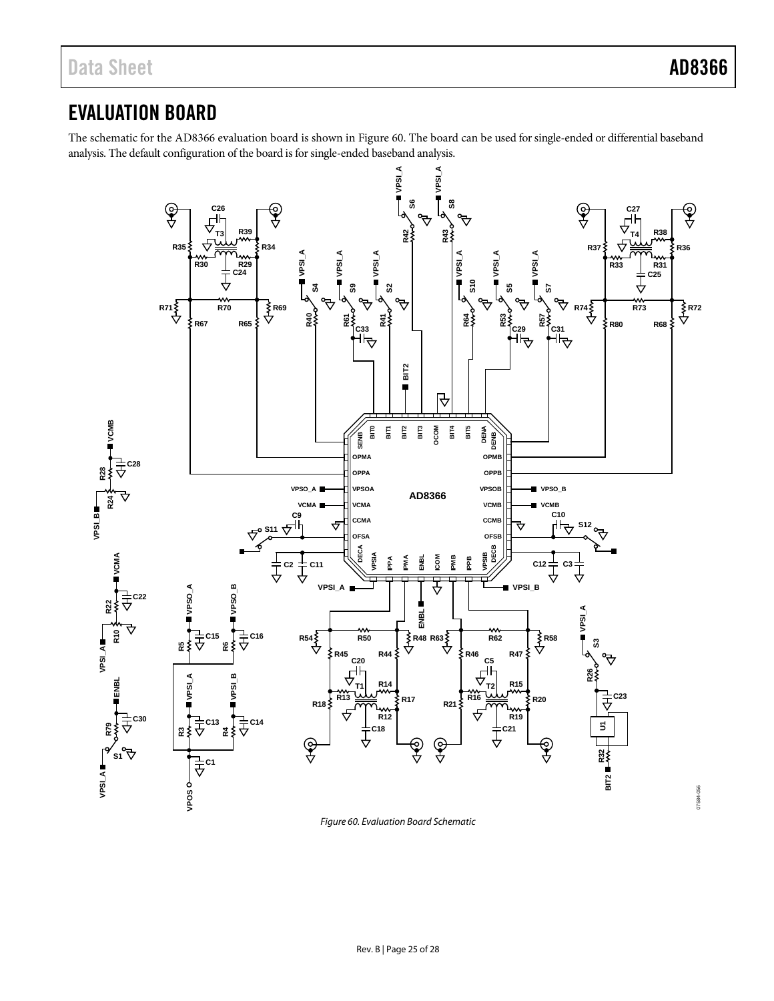## <span id="page-24-0"></span>EVALUATION BOARD

The schematic for the AD8366 evaluation board is shown i[n Figure 60.](#page-24-1) The board can be used for single-ended or differential baseband analysis. The default configuration of the board is for single-ended baseband analysis.



<span id="page-24-1"></span>*Figure 60. Evaluation Board Schematic*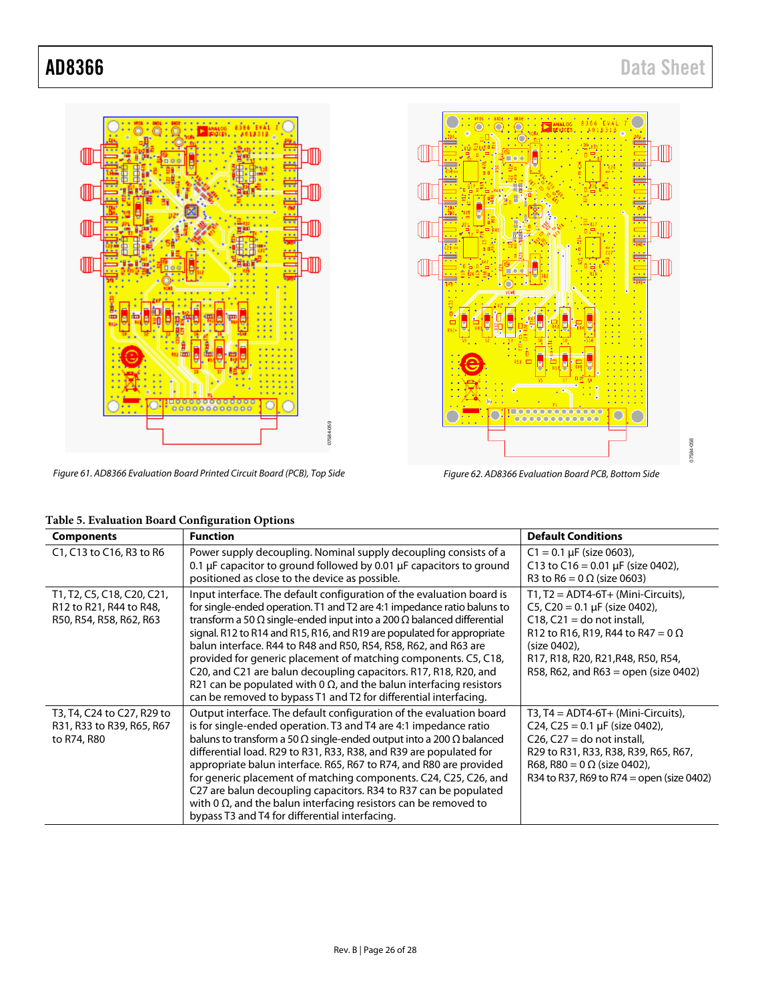07584-058

-058 7584



Figure 61. AD8366 Evaluation Board Printed Circuit Board (PCB), Top Side

Figure 62. AD8366 Evaluation Board PCB, Bottom Side

 $\subset$ 

| <b>Components</b>                                                                | <b>Function</b>                                                                                                                                                                                                                                                                                                                                                                                                                                                                                                                                                                                                                                                                | <b>Default Conditions</b>                                                                                                                                                                                                                              |
|----------------------------------------------------------------------------------|--------------------------------------------------------------------------------------------------------------------------------------------------------------------------------------------------------------------------------------------------------------------------------------------------------------------------------------------------------------------------------------------------------------------------------------------------------------------------------------------------------------------------------------------------------------------------------------------------------------------------------------------------------------------------------|--------------------------------------------------------------------------------------------------------------------------------------------------------------------------------------------------------------------------------------------------------|
| C1, C13 to C16, R3 to R6                                                         | Power supply decoupling. Nominal supply decoupling consists of a<br>0.1 $\mu$ F capacitor to ground followed by 0.01 $\mu$ F capacitors to ground<br>positioned as close to the device as possible.                                                                                                                                                                                                                                                                                                                                                                                                                                                                            | $C1 = 0.1 \mu F$ (size 0603),<br>C13 to C16 = 0.01 $\mu$ F (size 0402),<br>R3 to R6 = $0 \Omega$ (size 0603)                                                                                                                                           |
| T1, T2, C5, C18, C20, C21,<br>R12 to R21, R44 to R48,<br>R50, R54, R58, R62, R63 | Input interface. The default configuration of the evaluation board is<br>for single-ended operation. T1 and T2 are 4:1 impedance ratio baluns to<br>transform a 50 $\Omega$ single-ended input into a 200 $\Omega$ balanced differential<br>signal, R12 to R14 and R15, R16, and R19 are populated for appropriate<br>balun interface. R44 to R48 and R50, R54, R58, R62, and R63 are<br>provided for generic placement of matching components. C5, C18,<br>C20, and C21 are balun decoupling capacitors. R17, R18, R20, and<br>R21 can be populated with $0 \Omega$ , and the balun interfacing resistors<br>can be removed to bypass T1 and T2 for differential interfacing. | $T1, T2 = ADT4-6T+ (Mini-Circuits)$<br>C5, C20 = $0.1 \mu$ F (size 0402),<br>$C18$ , $C21 =$ do not install,<br>R12 to R16, R19, R44 to R47 = $0 \Omega$<br>(size 0402),<br>R17, R18, R20, R21, R48, R50, R54,<br>R58, R62, and R63 = open (size 0402) |
| T3, T4, C24 to C27, R29 to<br>R31, R33 to R39, R65, R67<br>to R74, R80           | Output interface. The default configuration of the evaluation board<br>is for single-ended operation. T3 and T4 are 4:1 impedance ratio<br>baluns to transform a 50 $\Omega$ single-ended output into a 200 $\Omega$ balanced<br>differential load. R29 to R31, R33, R38, and R39 are populated for<br>appropriate balun interface. R65, R67 to R74, and R80 are provided<br>for generic placement of matching components. C24, C25, C26, and<br>C27 are balun decoupling capacitors. R34 to R37 can be populated<br>with 0 $\Omega$ , and the balun interfacing resistors can be removed to<br>bypass T3 and T4 for differential interfacing.                                 | T3, T4 = $ADT4-6T+$ (Mini-Circuits),<br>C24, C25 = 0.1 µF (size 0402),<br>$C26$ , $C27 =$ do not install,<br>R29 to R31, R33, R38, R39, R65, R67,<br>R68, R80 = $0 \Omega$ (size 0402),<br>R34 to R37, R69 to R74 = open (size 0402)                   |

## **Table 5. Evaluation Board Configuration Options**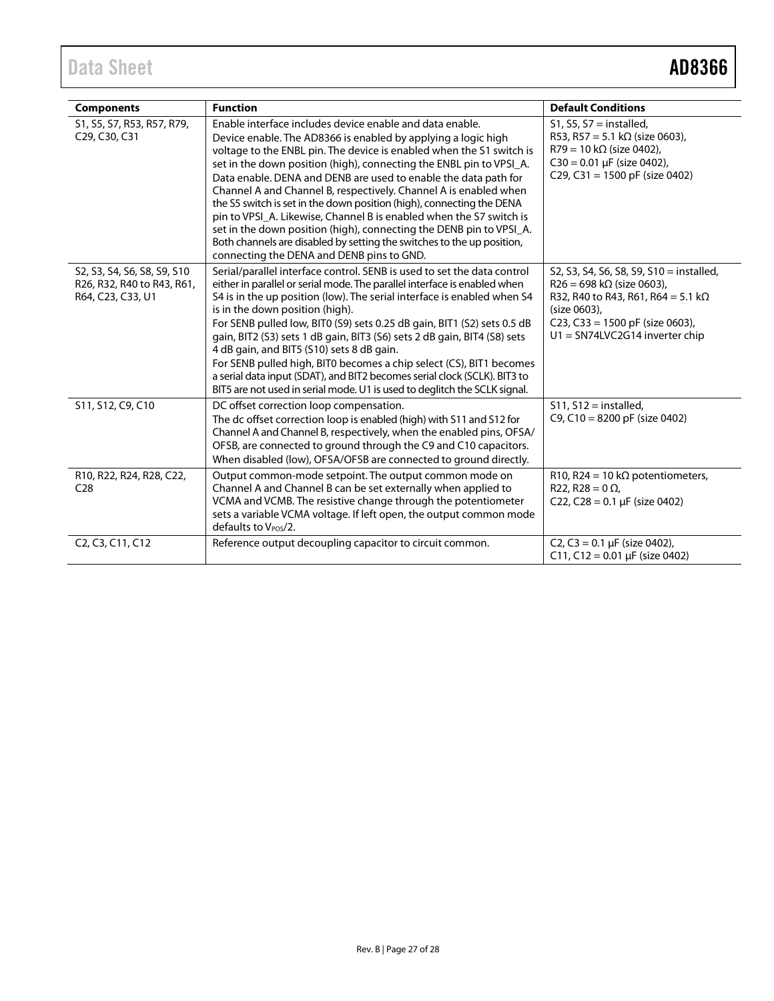| <b>Components</b>                                                              | <b>Function</b>                                                                                                                                                                                                                                                                                                                                                                                                                                                                                                                                                                                                                                                                                                                                               | <b>Default Conditions</b>                                                                                                                                                                                                 |
|--------------------------------------------------------------------------------|---------------------------------------------------------------------------------------------------------------------------------------------------------------------------------------------------------------------------------------------------------------------------------------------------------------------------------------------------------------------------------------------------------------------------------------------------------------------------------------------------------------------------------------------------------------------------------------------------------------------------------------------------------------------------------------------------------------------------------------------------------------|---------------------------------------------------------------------------------------------------------------------------------------------------------------------------------------------------------------------------|
| S1, S5, S7, R53, R57, R79,<br>C29, C30, C31                                    | Enable interface includes device enable and data enable.<br>Device enable. The AD8366 is enabled by applying a logic high<br>voltage to the ENBL pin. The device is enabled when the S1 switch is<br>set in the down position (high), connecting the ENBL pin to VPSI_A.<br>Data enable. DENA and DENB are used to enable the data path for<br>Channel A and Channel B, respectively. Channel A is enabled when<br>the S5 switch is set in the down position (high), connecting the DENA<br>pin to VPSI_A. Likewise, Channel B is enabled when the S7 switch is<br>set in the down position (high), connecting the DENB pin to VPSI_A.<br>Both channels are disabled by setting the switches to the up position,<br>connecting the DENA and DENB pins to GND. | $S1, S5, S7 =$ installed,<br>R53, R57 = 5.1 k $\Omega$ (size 0603),<br>$R79 = 10 k\Omega$ (size 0402),<br>$C30 = 0.01 \mu F$ (size 0402),<br>C29, C31 = 1500 pF (size 0402)                                               |
| S2, S3, S4, S6, S8, S9, S10<br>R26, R32, R40 to R43, R61,<br>R64, C23, C33, U1 | Serial/parallel interface control. SENB is used to set the data control<br>either in parallel or serial mode. The parallel interface is enabled when<br>S4 is in the up position (low). The serial interface is enabled when S4<br>is in the down position (high).<br>For SENB pulled low, BITO (S9) sets 0.25 dB gain, BIT1 (S2) sets 0.5 dB<br>gain, BIT2 (S3) sets 1 dB gain, BIT3 (S6) sets 2 dB gain, BIT4 (S8) sets<br>4 dB gain, and BIT5 (S10) sets 8 dB gain.<br>For SENB pulled high, BIT0 becomes a chip select (CS), BIT1 becomes<br>a serial data input (SDAT), and BIT2 becomes serial clock (SCLK). BIT3 to<br>BIT5 are not used in serial mode. U1 is used to deglitch the SCLK signal.                                                       | S2, S3, S4, S6, S8, S9, S10 = installed,<br>$R26 = 698 \text{ k}\Omega$ (size 0603),<br>R32, R40 to R43, R61, R64 = 5.1 k $\Omega$<br>(size 0603),<br>C23, C33 = 1500 pF (size 0603),<br>$U1 = SN74LVC2G14$ inverter chip |
| S11, S12, C9, C10                                                              | DC offset correction loop compensation.<br>The dc offset correction loop is enabled (high) with S11 and S12 for<br>Channel A and Channel B, respectively, when the enabled pins, OFSA/<br>OFSB, are connected to ground through the C9 and C10 capacitors.<br>When disabled (low), OFSA/OFSB are connected to ground directly.                                                                                                                                                                                                                                                                                                                                                                                                                                | $S11, S12 =$ installed,<br>C9, C10 = 8200 pF (size 0402)                                                                                                                                                                  |
| R10, R22, R24, R28, C22,<br>C <sub>28</sub>                                    | Output common-mode setpoint. The output common mode on<br>Channel A and Channel B can be set externally when applied to<br>VCMA and VCMB. The resistive change through the potentiometer<br>sets a variable VCMA voltage. If left open, the output common mode<br>defaults to V <sub>POS</sub> /2.                                                                                                                                                                                                                                                                                                                                                                                                                                                            | R10, R24 = 10 k $\Omega$ potentiometers,<br>R22, R28 = $0 \Omega$ ,<br>C22, C28 = $0.1 \mu$ F (size 0402)                                                                                                                 |
| C <sub>2</sub> , C <sub>3</sub> , C <sub>11</sub> , C <sub>12</sub>            | Reference output decoupling capacitor to circuit common.                                                                                                                                                                                                                                                                                                                                                                                                                                                                                                                                                                                                                                                                                                      | C2, C3 = $0.1 \mu$ F (size 0402),<br>C11, C12 = 0.01 µF (size 0402)                                                                                                                                                       |